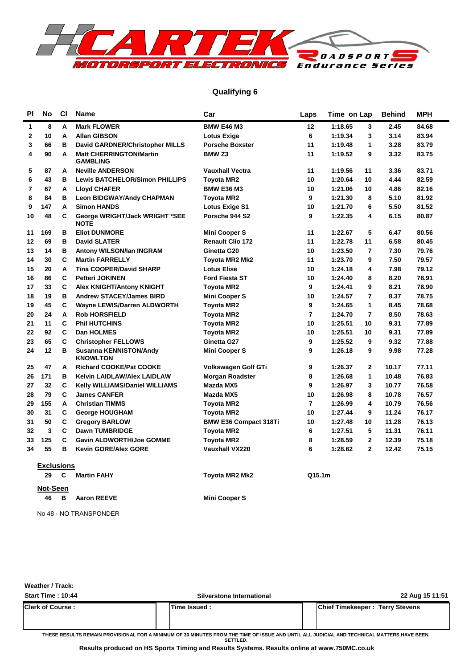

#### **Qualifying 6**

| <b>PI</b>    | <b>No</b>         | CI           | <b>Name</b>                                       | Car                          | Laps            | Time on Lap |                | <b>Behind</b> | MPH   |
|--------------|-------------------|--------------|---------------------------------------------------|------------------------------|-----------------|-------------|----------------|---------------|-------|
| $\mathbf{1}$ | 8                 | A            | <b>Mark FLOWER</b>                                | <b>BMW E46 M3</b>            | 12 <sub>2</sub> | 1:18.65     | 3              | 2.45          | 84.68 |
| $\mathbf 2$  | 10                | A            | <b>Allan GIBSON</b>                               | <b>Lotus Exige</b>           | 6               | 1:19.34     | 3              | 3.14          | 83.94 |
| 3            | 66                | в            | David GARDNER/Christopher MILLS                   | <b>Porsche Boxster</b>       | 11              | 1:19.48     | 1              | 3.28          | 83.79 |
| 4            | 90                | A            | <b>Matt CHERRINGTON/Martin</b><br><b>GAMBLING</b> | BMW <sub>Z3</sub>            | 11              | 1:19.52     | 9              | 3.32          | 83.75 |
| 5            | 87                | Α            | <b>Neville ANDERSON</b>                           | <b>Vauxhall Vectra</b>       | 11              | 1:19.56     | 11             | 3.36          | 83.71 |
| 6            | 43                | в            | <b>Lewis BATCHELOR/Simon PHILLIPS</b>             | <b>Toyota MR2</b>            | 10              | 1:20.64     | 10             | 4.44          | 82.59 |
| 7            | 67                | Α            | <b>Lloyd CHAFER</b>                               | <b>BMW E36 M3</b>            | 10              | 1:21.06     | 10             | 4.86          | 82.16 |
| 8            | 84                | в            | <b>Leon BIDGWAY/Andy CHAPMAN</b>                  | <b>Toyota MR2</b>            | 9               | 1:21.30     | 8              | 5.10          | 81.92 |
| 9            | 147               | A            | <b>Simon HANDS</b>                                | <b>Lotus Exige S1</b>        | 10              | 1:21.70     | 6              | 5.50          | 81.52 |
| 10           | 48                | C            | George WRIGHT/Jack WRIGHT *SEE<br><b>NOTE</b>     | Porsche 944 S2               | 9               | 1:22.35     | 4              | 6.15          | 80.87 |
| 11           | 169               | в            | <b>Eliot DUNMORE</b>                              | <b>Mini Cooper S</b>         | 11              | 1:22.67     | 5              | 6.47          | 80.56 |
| 12           | 69                | в            | <b>David SLATER</b>                               | <b>Renault Clio 172</b>      | 11              | 1:22.78     | 11             | 6.58          | 80.45 |
| 13           | 14                | в            | Antony WILSON/Ian INGRAM                          | Ginetta G20                  | 10              | 1:23.50     | $\overline{7}$ | 7.30          | 79.76 |
| 14           | 30                | C            | <b>Martin FARRELLY</b>                            | Toyota MR2 Mk2               | 11              | 1:23.70     | 9              | 7.50          | 79.57 |
| 15           | 20                | Α            | <b>Tina COOPER/David SHARP</b>                    | <b>Lotus Elise</b>           | 10              | 1:24.18     | 4              | 7.98          | 79.12 |
| 16           | 86                | С            | Petteri JOKINEN                                   | <b>Ford Fiesta ST</b>        | 10              | 1:24.40     | 8              | 8.20          | 78.91 |
| 17           | 33                | $\mathbf{C}$ | <b>Alex KNIGHT/Antony KNIGHT</b>                  | <b>Toyota MR2</b>            | 9               | 1:24.41     | 9              | 8.21          | 78.90 |
| 18           | 19                | в            | <b>Andrew STACEY/James BIRD</b>                   | Mini Cooper S                | 10              | 1:24.57     | 7              | 8.37          | 78.75 |
| 19           | 45                | C            | Wayne LEWIS/Darren ALDWORTH                       | <b>Toyota MR2</b>            | 9               | 1:24.65     | 1              | 8.45          | 78.68 |
| 20           | 24                | A            | <b>Rob HORSFIELD</b>                              | Toyota MR2                   | 7               | 1:24.70     | $\overline{7}$ | 8.50          | 78.63 |
| 21           | 11                | C            | <b>Phil HUTCHINS</b>                              | <b>Toyota MR2</b>            | 10              | 1:25.51     | 10             | 9.31          | 77.89 |
| 22           | 92                | C            | Dan HOLMES                                        | <b>Toyota MR2</b>            | 10              | 1:25.51     | 10             | 9.31          | 77.89 |
| 23           | 65                | C            | <b>Christopher FELLOWS</b>                        | Ginetta G27                  | 9               | 1:25.52     | 9              | 9.32          | 77.88 |
| 24           | 12                | в            | <b>Susanna KENNISTON/Andy</b><br><b>KNOWLTON</b>  | Mini Cooper S                | 9               | 1:26.18     | 9              | 9.98          | 77.28 |
| 25           | 47                | Α            | <b>Richard COOKE/Pat COOKE</b>                    | Volkswagen Golf GTi          | 9               | 1:26.37     | $\mathbf{2}$   | 10.17         | 77.11 |
| 26           | 171               | в            | Kelvin LAIDLAW/Alex LAIDLAW                       | <b>Morgan Roadster</b>       | 8               | 1:26.68     | $\mathbf{1}$   | 10.48         | 76.83 |
| 27           | 32                | С            | Kelly WILLIAMS/Daniel WILLIAMS                    | Mazda MX5                    | 9               | 1:26.97     | 3              | 10.77         | 76.58 |
| 28           | 79                | C            | <b>James CANFER</b>                               | Mazda MX5                    | 10              | 1:26.98     | 8              | 10.78         | 76.57 |
| 29           | 155               | A            | <b>Christian TIMMS</b>                            | Toyota MR2                   | $\overline{7}$  | 1:26.99     | 4              | 10.79         | 76.56 |
| 30           | 31                | С            | <b>George HOUGHAM</b>                             | Toyota MR2                   | 10              | 1:27.44     | 9              | 11.24         | 76.17 |
| 31           | 50                | C            | <b>Gregory BARLOW</b>                             | <b>BMW E36 Compact 318Ti</b> | 10              | 1:27.48     | 10             | 11.28         | 76.13 |
| 32           | 3                 | C            | Dawn TUMBRIDGE                                    | <b>Toyota MR2</b>            | 6               | 1:27.51     | 5              | 11.31         | 76.11 |
| 33           | 125               | $\mathbf{C}$ | <b>Gavin ALDWORTH/Joe GOMME</b>                   | <b>Toyota MR2</b>            | 8               | 1:28.59     | $\mathbf{2}$   | 12.39         | 75.18 |
| 34           | 55                | в            | <b>Kevin GORE/Alex GORE</b>                       | <b>Vauxhall VX220</b>        | 6               | 1:28.62     | $\overline{2}$ | 12.42         | 75.15 |
|              | <b>Exclusions</b> |              |                                                   |                              |                 |             |                |               |       |
|              | 29                | C            | <b>Martin FAHY</b>                                | Toyota MR2 Mk2               | Q15.1m          |             |                |               |       |
|              | Not-Seen          |              |                                                   |                              |                 |             |                |               |       |
|              | 46                | B            | <b>Aaron REEVE</b>                                | Mini Cooper S                |                 |             |                |               |       |

No 48 - NO TRANSPONDER

**Weather / Track:** 

| Start Time: 10:44        | Silverstone International | 22 Aug 15 11:51                        |
|--------------------------|---------------------------|----------------------------------------|
| <b>Clerk of Course :</b> | Time Issued :             | <b>Chief Timekeeper: Terry Stevens</b> |
|                          |                           |                                        |

**THESE RESULTS REMAIN PROVISIONAL FOR A MINIMUM OF 30 MINUTES FROM THE TIME OF ISSUE AND UNTIL ALL JUDICIAL AND TECHNICAL MATTERS HAVE BEEN SETTLED.**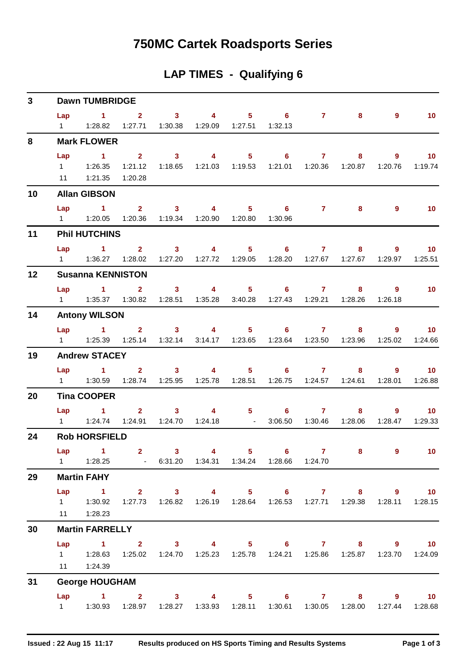## **750MC Cartek Roadsports Series**

#### **LAP TIMES - Qualifying 6**

| $\mathbf{3}$ |                       | <b>Dawn TUMBRIDGE</b>                                                                                                                            |              |                     |                                                      |                                                                               |                  |              |                           |                              |
|--------------|-----------------------|--------------------------------------------------------------------------------------------------------------------------------------------------|--------------|---------------------|------------------------------------------------------|-------------------------------------------------------------------------------|------------------|--------------|---------------------------|------------------------------|
|              |                       | Lap 1 2 3 4 5 6 7 8<br>1   1:28.82   1:27.71   1:30.38   1:29.09   1:27.51   1:32.13                                                             |              |                     |                                                      |                                                                               |                  |              | $9^{\circ}$               | 10                           |
| 8            |                       | <b>Mark FLOWER</b>                                                                                                                               |              |                     |                                                      |                                                                               |                  |              |                           |                              |
|              | Lap                   | $\sim$ 1<br>1   1:26.35   1:21.12   1:18.65   1:21.03   1:19.53   1:21.01   1:20.36   1:20.87   1:20.76   1:19.74<br>11  1:21.35  1:20.28        |              |                     |                                                      | $2 \qquad 3 \qquad 4 \qquad 5 \qquad 6 \qquad 7$                              |                  |              | $9^{\circ}$<br>$8 - 1$    | 10                           |
| 10           |                       | <b>Allan GIBSON</b>                                                                                                                              |              |                     |                                                      |                                                                               |                  |              |                           |                              |
|              | $1 \quad \Box$        | Lap 1 2 3 4 5 6 7 8                                                                                                                              |              |                     | 1:20.05  1:20.36  1:19.34  1:20.90  1:20.80  1:30.96 |                                                                               |                  |              | $\overline{9}$            | 10                           |
| 11           |                       | <b>Phil HUTCHINS</b>                                                                                                                             |              |                     |                                                      |                                                                               |                  |              |                           |                              |
|              |                       | Lap 1 2 3 4 5 6 7 8 9<br>1   1:36.27   1:28.02   1:27.20   1:27.72   1:29.05   1:28.20   1:27.67   1:27.67   1:29.97   1:25.51                   |              |                     |                                                      |                                                                               |                  |              |                           | $\blacksquare$ 10            |
| 12           |                       | <b>Susanna KENNISTON</b>                                                                                                                         |              |                     |                                                      |                                                                               |                  |              |                           |                              |
|              | Lap                   | $\sim$ 1.000 $\sim$ 1.000 $\sim$<br>1    1:35.37    1:30.82    1:28.51    1:35.28    3:40.28    1:27.43    1:29.21    1:28.26    1:26.18         | $\mathbf{2}$ |                     |                                                      | 3 4 5 6 7                                                                     |                  |              | $\overline{9}$<br>$8 - 1$ | $\blacksquare$ 10            |
| 14           |                       | <b>Antony WILSON</b>                                                                                                                             |              |                     |                                                      |                                                                               |                  |              |                           |                              |
|              |                       | Lap 1 2 3 4 5 6 7 8<br>1   1:25.39   1:25.14   1:32.14   3:14.17   1:23.65   1:23.64   1:23.50   1:23.96                                         |              |                     |                                                      |                                                                               |                  |              | 9<br>1:25.02              | $\blacksquare$ 10<br>1:24.66 |
| 19           |                       | <b>Andrew STACEY</b>                                                                                                                             |              |                     |                                                      |                                                                               |                  |              |                           |                              |
|              |                       | Lap 1<br>1   1:30.59   1:28.74   1:25.95   1:25.78   1:28.51   1:26.75   1:24.57   1:24.61   1:28.01                                             |              |                     |                                                      | $2 \qquad 3 \qquad 4 \qquad 5 \qquad 6 \qquad 7$                              |                  |              | $8 - 1$<br>9              | $\sim$ 10<br>1:26.88         |
| 20           |                       | <b>Tina COOPER</b>                                                                                                                               |              |                     |                                                      |                                                                               |                  |              |                           |                              |
|              |                       | Lap 1                                                                                                                                            |              | $2 \qquad \qquad 3$ |                                                      | 4 5 6 7                                                                       | 3:06.50  1:30.46 | 8<br>1:28.06 | 9<br>1:28.47              | $\blacksquare$ 10<br>1:29.33 |
| 24           |                       | <b>Rob HORSFIELD</b>                                                                                                                             |              |                     |                                                      |                                                                               |                  |              |                           |                              |
|              | Lap<br>$1 \quad \Box$ | $\sim$ $\sim$ 1                                                                                                                                  |              |                     |                                                      | 2 3 4 5 6 7<br>1:28.25    6:31.20    1:34.31    1:34.24    1:28.66    1:24.70 |                  | $8 -$        | $\overline{\mathbf{9}}$   | $\overline{10}$              |
| 29           |                       | <b>Martin FAHY</b>                                                                                                                               |              |                     |                                                      |                                                                               |                  |              |                           |                              |
|              |                       | Lap 1 2 3 4 5 6 7 8 9 10<br>1   1:30.92   1:27.73   1:26.82   1:26.19   1:28.64   1:26.53   1:27.71   1:29.38   1:28.11   1:28.15<br>11  1:28.23 |              |                     |                                                      |                                                                               |                  |              |                           |                              |
| 30           |                       | <b>Martin FARRELLY</b>                                                                                                                           |              |                     |                                                      |                                                                               |                  |              |                           |                              |
|              |                       | Lap 1 2 3 4 5 6 7 8 9 10<br>1   1:28.63   1:25.02   1:24.70   1:25.23   1:25.78   1:24.21   1:25.86   1:25.87   1:23.70   1:24.09<br>11  1:24.39 |              |                     |                                                      |                                                                               |                  |              |                           |                              |
| 31           |                       | <b>George HOUGHAM</b>                                                                                                                            |              |                     |                                                      |                                                                               |                  |              |                           |                              |
|              |                       | Lap 1 2 3 4 5 6 7 8 9<br>1   1:30.93   1:28.97   1:28.27   1:33.93   1:28.11   1:30.61   1:30.05                                                 |              |                     |                                                      |                                                                               |                  |              | 1:28.00  1:27.44          | $\overline{10}$<br>1:28.68   |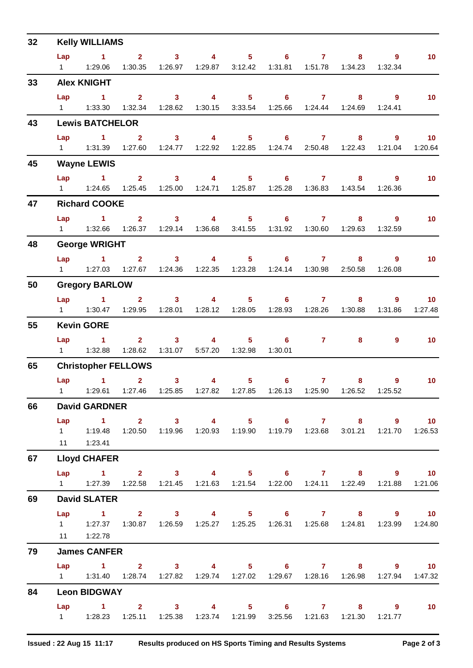| Lap<br>$1 \t2 \t3 \t4$<br>$5 \t\t 6 \t\t 7$<br>10 <sub>1</sub><br>$8 - 1$<br>9<br>1   1:29.06   1:30.35   1:26.97   1:29.87   3:12.42   1:31.81   1:51.78   1:34.23   1:32.34<br>33<br><b>Alex KNIGHT</b><br>Lap 1<br>4 5 6 7 8 9<br>$2^{\circ}$<br>$\sim$ 3<br>10<br>1:32.34  1:28.62  1:30.15  3:33.54  1:25.66  1:24.44  1:24.69<br>$1 \t 1:33.30$<br>1:24.41<br>43<br><b>Lewis BATCHELOR</b><br>$\mathbf{1}$<br>$\overline{\mathbf{3}}$<br>$\overline{4}$<br>$5 \t\t 6 \t\t 7 \t\t 8$<br>2 <sup>7</sup><br>$9^{\circ}$<br>$-10$<br>Lap<br>1   1:31.39   1:27.60   1:24.77   1:22.92   1:22.85   1:24.74   2:50.48   1:22.43   1:21.04<br>1:20.64<br>45<br><b>Wayne LEWIS</b><br>Lap 1 2 3 4 5 6 7 8<br>10<br>$\overline{9}$<br>1   1:24.65   1:25.45   1:25.00   1:24.71   1:25.87   1:25.28   1:36.83   1:43.54<br>1:26.36<br>47<br><b>Richard COOKE</b><br>$2 \t 3 \t 4$<br>Lap<br>$\sim$ $\sim$ $\sim$ $\sim$ $\sim$ $\sim$<br>$5 \t\t 6 \t\t 7$<br>10 <sub>1</sub><br>$8 \qquad \qquad 9$<br>1   1:32.66   1:26.37   1:29.14   1:36.68   3:41.55   1:31.92   1:30.60   1:29.63   1:32.59<br>48<br><b>George WRIGHT</b><br>$Lap$ 1<br>$\overline{4}$<br>$2 \t 3$<br>$5 \t\t 6 \t\t 7 \t\t 8$<br>10<br>9<br>1   1:27.03   1:27.67   1:24.36   1:22.35   1:23.28   1:24.14   1:30.98<br>2:50.58<br>1:26.08<br>50<br><b>Gregory BARLOW</b><br>Lap 1 2 3 4<br>$5 \t\t 6 \t\t 7$<br>$-10$<br>$8 - 1$<br>$9^{\circ}$<br>1   1:30.47   1:29.95   1:28.01   1:28.12   1:28.05   1:28.93   1:28.26   1:30.88   1:31.86<br>55<br><b>Kevin GORE</b><br>$2 \qquad 3 \qquad 4 \qquad 5 \qquad 6 \qquad 7$<br>Lap 1<br>$\overline{10}$<br>9<br>$\overline{\mathbf{8}}$ and $\overline{\mathbf{8}}$<br>1:28.62  1:31.07  5:57.20  1:32.98<br>1:30.01<br>65<br><b>Christopher FELLOWS</b><br>$\overline{\mathbf{2}}$<br>Lap 1<br>3 <sup>7</sup><br>$\overline{4}$<br>$5 \t\t 6$<br>$7 \quad \overline{\phantom{1}}$<br>$\overline{10}$<br>$8 - 1$<br>9<br>1   1:29.61   1:27.46   1:25.85   1:27.82   1:27.85   1:26.13   1:25.90   1:26.52   1:25.52<br>66<br><b>David GARDNER</b><br>Lap 1 2 3 4 5 6 7 8 9 10<br>11   1:23.41<br>67<br><b>Lloyd CHAFER</b><br>Lap 1 2 3 4 5 6 7 8 9 10<br>1   1:27.39   1:22.58   1:21.45   1:21.63   1:21.54   1:22.00   1:24.11   1:22.49   1:21.88<br>69<br><b>David SLATER</b><br>1 2 3 4 5 6 7 8 9 10<br>Lap<br>1    1:27.37    1:30.87    1:26.59    1:25.27    1:25.25    1:26.31    1:25.68    1:24.81    1:23.99    1:24.80<br>11  1:22.78<br>79<br><b>James CANFER</b><br>Lap 1 2 3 4 5 6 7 8 9 10<br>84<br><b>Leon BIDGWAY</b><br>Lap 1 2 3 4 5 6 7 8 9<br>$\overline{10}$<br>1   1:28.23   1:25.11   1:25.38   1:23.74   1:21.99   3:25.56   1:21.63   1:21.30   1:21.77 | 32 | <b>Kelly WILLIAMS</b> |  |  |  |  |  |
|---------------------------------------------------------------------------------------------------------------------------------------------------------------------------------------------------------------------------------------------------------------------------------------------------------------------------------------------------------------------------------------------------------------------------------------------------------------------------------------------------------------------------------------------------------------------------------------------------------------------------------------------------------------------------------------------------------------------------------------------------------------------------------------------------------------------------------------------------------------------------------------------------------------------------------------------------------------------------------------------------------------------------------------------------------------------------------------------------------------------------------------------------------------------------------------------------------------------------------------------------------------------------------------------------------------------------------------------------------------------------------------------------------------------------------------------------------------------------------------------------------------------------------------------------------------------------------------------------------------------------------------------------------------------------------------------------------------------------------------------------------------------------------------------------------------------------------------------------------------------------------------------------------------------------------------------------------------------------------------------------------------------------------------------------------------------------------------------------------------------------------------------------------------------------------------------------------------------------------------------------------------------------------------------------------------------------------------------------------------------------------------------------------------------------------------------------------------------------------------------------------------------------------------------------------------------------------------------------------------------------------------------------------------------------------------------------------------|----|-----------------------|--|--|--|--|--|
| 1:27.48<br>1   1:19.48   1:20.50   1:19.96   1:20.93   1:19.90   1:19.79   1:23.68   3:01.21   1:21.70   1:26.53<br>1:21.06<br>1   1:31.40   1:28.74   1:27.82   1:29.74   1:27.02   1:29.67   1:28.16   1:26.98   1:27.94   1:47.32                                                                                                                                                                                                                                                                                                                                                                                                                                                                                                                                                                                                                                                                                                                                                                                                                                                                                                                                                                                                                                                                                                                                                                                                                                                                                                                                                                                                                                                                                                                                                                                                                                                                                                                                                                                                                                                                                                                                                                                                                                                                                                                                                                                                                                                                                                                                                                                                                                                                          |    |                       |  |  |  |  |  |
|                                                                                                                                                                                                                                                                                                                                                                                                                                                                                                                                                                                                                                                                                                                                                                                                                                                                                                                                                                                                                                                                                                                                                                                                                                                                                                                                                                                                                                                                                                                                                                                                                                                                                                                                                                                                                                                                                                                                                                                                                                                                                                                                                                                                                                                                                                                                                                                                                                                                                                                                                                                                                                                                                                               |    |                       |  |  |  |  |  |
|                                                                                                                                                                                                                                                                                                                                                                                                                                                                                                                                                                                                                                                                                                                                                                                                                                                                                                                                                                                                                                                                                                                                                                                                                                                                                                                                                                                                                                                                                                                                                                                                                                                                                                                                                                                                                                                                                                                                                                                                                                                                                                                                                                                                                                                                                                                                                                                                                                                                                                                                                                                                                                                                                                               |    |                       |  |  |  |  |  |
|                                                                                                                                                                                                                                                                                                                                                                                                                                                                                                                                                                                                                                                                                                                                                                                                                                                                                                                                                                                                                                                                                                                                                                                                                                                                                                                                                                                                                                                                                                                                                                                                                                                                                                                                                                                                                                                                                                                                                                                                                                                                                                                                                                                                                                                                                                                                                                                                                                                                                                                                                                                                                                                                                                               |    |                       |  |  |  |  |  |
|                                                                                                                                                                                                                                                                                                                                                                                                                                                                                                                                                                                                                                                                                                                                                                                                                                                                                                                                                                                                                                                                                                                                                                                                                                                                                                                                                                                                                                                                                                                                                                                                                                                                                                                                                                                                                                                                                                                                                                                                                                                                                                                                                                                                                                                                                                                                                                                                                                                                                                                                                                                                                                                                                                               |    |                       |  |  |  |  |  |
|                                                                                                                                                                                                                                                                                                                                                                                                                                                                                                                                                                                                                                                                                                                                                                                                                                                                                                                                                                                                                                                                                                                                                                                                                                                                                                                                                                                                                                                                                                                                                                                                                                                                                                                                                                                                                                                                                                                                                                                                                                                                                                                                                                                                                                                                                                                                                                                                                                                                                                                                                                                                                                                                                                               |    |                       |  |  |  |  |  |
|                                                                                                                                                                                                                                                                                                                                                                                                                                                                                                                                                                                                                                                                                                                                                                                                                                                                                                                                                                                                                                                                                                                                                                                                                                                                                                                                                                                                                                                                                                                                                                                                                                                                                                                                                                                                                                                                                                                                                                                                                                                                                                                                                                                                                                                                                                                                                                                                                                                                                                                                                                                                                                                                                                               |    |                       |  |  |  |  |  |
|                                                                                                                                                                                                                                                                                                                                                                                                                                                                                                                                                                                                                                                                                                                                                                                                                                                                                                                                                                                                                                                                                                                                                                                                                                                                                                                                                                                                                                                                                                                                                                                                                                                                                                                                                                                                                                                                                                                                                                                                                                                                                                                                                                                                                                                                                                                                                                                                                                                                                                                                                                                                                                                                                                               |    |                       |  |  |  |  |  |
|                                                                                                                                                                                                                                                                                                                                                                                                                                                                                                                                                                                                                                                                                                                                                                                                                                                                                                                                                                                                                                                                                                                                                                                                                                                                                                                                                                                                                                                                                                                                                                                                                                                                                                                                                                                                                                                                                                                                                                                                                                                                                                                                                                                                                                                                                                                                                                                                                                                                                                                                                                                                                                                                                                               |    |                       |  |  |  |  |  |
|                                                                                                                                                                                                                                                                                                                                                                                                                                                                                                                                                                                                                                                                                                                                                                                                                                                                                                                                                                                                                                                                                                                                                                                                                                                                                                                                                                                                                                                                                                                                                                                                                                                                                                                                                                                                                                                                                                                                                                                                                                                                                                                                                                                                                                                                                                                                                                                                                                                                                                                                                                                                                                                                                                               |    |                       |  |  |  |  |  |
|                                                                                                                                                                                                                                                                                                                                                                                                                                                                                                                                                                                                                                                                                                                                                                                                                                                                                                                                                                                                                                                                                                                                                                                                                                                                                                                                                                                                                                                                                                                                                                                                                                                                                                                                                                                                                                                                                                                                                                                                                                                                                                                                                                                                                                                                                                                                                                                                                                                                                                                                                                                                                                                                                                               |    |                       |  |  |  |  |  |
|                                                                                                                                                                                                                                                                                                                                                                                                                                                                                                                                                                                                                                                                                                                                                                                                                                                                                                                                                                                                                                                                                                                                                                                                                                                                                                                                                                                                                                                                                                                                                                                                                                                                                                                                                                                                                                                                                                                                                                                                                                                                                                                                                                                                                                                                                                                                                                                                                                                                                                                                                                                                                                                                                                               |    |                       |  |  |  |  |  |
|                                                                                                                                                                                                                                                                                                                                                                                                                                                                                                                                                                                                                                                                                                                                                                                                                                                                                                                                                                                                                                                                                                                                                                                                                                                                                                                                                                                                                                                                                                                                                                                                                                                                                                                                                                                                                                                                                                                                                                                                                                                                                                                                                                                                                                                                                                                                                                                                                                                                                                                                                                                                                                                                                                               |    |                       |  |  |  |  |  |
|                                                                                                                                                                                                                                                                                                                                                                                                                                                                                                                                                                                                                                                                                                                                                                                                                                                                                                                                                                                                                                                                                                                                                                                                                                                                                                                                                                                                                                                                                                                                                                                                                                                                                                                                                                                                                                                                                                                                                                                                                                                                                                                                                                                                                                                                                                                                                                                                                                                                                                                                                                                                                                                                                                               |    |                       |  |  |  |  |  |
|                                                                                                                                                                                                                                                                                                                                                                                                                                                                                                                                                                                                                                                                                                                                                                                                                                                                                                                                                                                                                                                                                                                                                                                                                                                                                                                                                                                                                                                                                                                                                                                                                                                                                                                                                                                                                                                                                                                                                                                                                                                                                                                                                                                                                                                                                                                                                                                                                                                                                                                                                                                                                                                                                                               |    |                       |  |  |  |  |  |
|                                                                                                                                                                                                                                                                                                                                                                                                                                                                                                                                                                                                                                                                                                                                                                                                                                                                                                                                                                                                                                                                                                                                                                                                                                                                                                                                                                                                                                                                                                                                                                                                                                                                                                                                                                                                                                                                                                                                                                                                                                                                                                                                                                                                                                                                                                                                                                                                                                                                                                                                                                                                                                                                                                               |    |                       |  |  |  |  |  |
|                                                                                                                                                                                                                                                                                                                                                                                                                                                                                                                                                                                                                                                                                                                                                                                                                                                                                                                                                                                                                                                                                                                                                                                                                                                                                                                                                                                                                                                                                                                                                                                                                                                                                                                                                                                                                                                                                                                                                                                                                                                                                                                                                                                                                                                                                                                                                                                                                                                                                                                                                                                                                                                                                                               |    |                       |  |  |  |  |  |
|                                                                                                                                                                                                                                                                                                                                                                                                                                                                                                                                                                                                                                                                                                                                                                                                                                                                                                                                                                                                                                                                                                                                                                                                                                                                                                                                                                                                                                                                                                                                                                                                                                                                                                                                                                                                                                                                                                                                                                                                                                                                                                                                                                                                                                                                                                                                                                                                                                                                                                                                                                                                                                                                                                               |    |                       |  |  |  |  |  |
|                                                                                                                                                                                                                                                                                                                                                                                                                                                                                                                                                                                                                                                                                                                                                                                                                                                                                                                                                                                                                                                                                                                                                                                                                                                                                                                                                                                                                                                                                                                                                                                                                                                                                                                                                                                                                                                                                                                                                                                                                                                                                                                                                                                                                                                                                                                                                                                                                                                                                                                                                                                                                                                                                                               |    |                       |  |  |  |  |  |
|                                                                                                                                                                                                                                                                                                                                                                                                                                                                                                                                                                                                                                                                                                                                                                                                                                                                                                                                                                                                                                                                                                                                                                                                                                                                                                                                                                                                                                                                                                                                                                                                                                                                                                                                                                                                                                                                                                                                                                                                                                                                                                                                                                                                                                                                                                                                                                                                                                                                                                                                                                                                                                                                                                               |    |                       |  |  |  |  |  |
|                                                                                                                                                                                                                                                                                                                                                                                                                                                                                                                                                                                                                                                                                                                                                                                                                                                                                                                                                                                                                                                                                                                                                                                                                                                                                                                                                                                                                                                                                                                                                                                                                                                                                                                                                                                                                                                                                                                                                                                                                                                                                                                                                                                                                                                                                                                                                                                                                                                                                                                                                                                                                                                                                                               |    |                       |  |  |  |  |  |
|                                                                                                                                                                                                                                                                                                                                                                                                                                                                                                                                                                                                                                                                                                                                                                                                                                                                                                                                                                                                                                                                                                                                                                                                                                                                                                                                                                                                                                                                                                                                                                                                                                                                                                                                                                                                                                                                                                                                                                                                                                                                                                                                                                                                                                                                                                                                                                                                                                                                                                                                                                                                                                                                                                               |    |                       |  |  |  |  |  |
|                                                                                                                                                                                                                                                                                                                                                                                                                                                                                                                                                                                                                                                                                                                                                                                                                                                                                                                                                                                                                                                                                                                                                                                                                                                                                                                                                                                                                                                                                                                                                                                                                                                                                                                                                                                                                                                                                                                                                                                                                                                                                                                                                                                                                                                                                                                                                                                                                                                                                                                                                                                                                                                                                                               |    |                       |  |  |  |  |  |
|                                                                                                                                                                                                                                                                                                                                                                                                                                                                                                                                                                                                                                                                                                                                                                                                                                                                                                                                                                                                                                                                                                                                                                                                                                                                                                                                                                                                                                                                                                                                                                                                                                                                                                                                                                                                                                                                                                                                                                                                                                                                                                                                                                                                                                                                                                                                                                                                                                                                                                                                                                                                                                                                                                               |    |                       |  |  |  |  |  |
|                                                                                                                                                                                                                                                                                                                                                                                                                                                                                                                                                                                                                                                                                                                                                                                                                                                                                                                                                                                                                                                                                                                                                                                                                                                                                                                                                                                                                                                                                                                                                                                                                                                                                                                                                                                                                                                                                                                                                                                                                                                                                                                                                                                                                                                                                                                                                                                                                                                                                                                                                                                                                                                                                                               |    |                       |  |  |  |  |  |
|                                                                                                                                                                                                                                                                                                                                                                                                                                                                                                                                                                                                                                                                                                                                                                                                                                                                                                                                                                                                                                                                                                                                                                                                                                                                                                                                                                                                                                                                                                                                                                                                                                                                                                                                                                                                                                                                                                                                                                                                                                                                                                                                                                                                                                                                                                                                                                                                                                                                                                                                                                                                                                                                                                               |    |                       |  |  |  |  |  |
|                                                                                                                                                                                                                                                                                                                                                                                                                                                                                                                                                                                                                                                                                                                                                                                                                                                                                                                                                                                                                                                                                                                                                                                                                                                                                                                                                                                                                                                                                                                                                                                                                                                                                                                                                                                                                                                                                                                                                                                                                                                                                                                                                                                                                                                                                                                                                                                                                                                                                                                                                                                                                                                                                                               |    |                       |  |  |  |  |  |
|                                                                                                                                                                                                                                                                                                                                                                                                                                                                                                                                                                                                                                                                                                                                                                                                                                                                                                                                                                                                                                                                                                                                                                                                                                                                                                                                                                                                                                                                                                                                                                                                                                                                                                                                                                                                                                                                                                                                                                                                                                                                                                                                                                                                                                                                                                                                                                                                                                                                                                                                                                                                                                                                                                               |    |                       |  |  |  |  |  |
|                                                                                                                                                                                                                                                                                                                                                                                                                                                                                                                                                                                                                                                                                                                                                                                                                                                                                                                                                                                                                                                                                                                                                                                                                                                                                                                                                                                                                                                                                                                                                                                                                                                                                                                                                                                                                                                                                                                                                                                                                                                                                                                                                                                                                                                                                                                                                                                                                                                                                                                                                                                                                                                                                                               |    |                       |  |  |  |  |  |
|                                                                                                                                                                                                                                                                                                                                                                                                                                                                                                                                                                                                                                                                                                                                                                                                                                                                                                                                                                                                                                                                                                                                                                                                                                                                                                                                                                                                                                                                                                                                                                                                                                                                                                                                                                                                                                                                                                                                                                                                                                                                                                                                                                                                                                                                                                                                                                                                                                                                                                                                                                                                                                                                                                               |    |                       |  |  |  |  |  |
|                                                                                                                                                                                                                                                                                                                                                                                                                                                                                                                                                                                                                                                                                                                                                                                                                                                                                                                                                                                                                                                                                                                                                                                                                                                                                                                                                                                                                                                                                                                                                                                                                                                                                                                                                                                                                                                                                                                                                                                                                                                                                                                                                                                                                                                                                                                                                                                                                                                                                                                                                                                                                                                                                                               |    |                       |  |  |  |  |  |
|                                                                                                                                                                                                                                                                                                                                                                                                                                                                                                                                                                                                                                                                                                                                                                                                                                                                                                                                                                                                                                                                                                                                                                                                                                                                                                                                                                                                                                                                                                                                                                                                                                                                                                                                                                                                                                                                                                                                                                                                                                                                                                                                                                                                                                                                                                                                                                                                                                                                                                                                                                                                                                                                                                               |    |                       |  |  |  |  |  |
|                                                                                                                                                                                                                                                                                                                                                                                                                                                                                                                                                                                                                                                                                                                                                                                                                                                                                                                                                                                                                                                                                                                                                                                                                                                                                                                                                                                                                                                                                                                                                                                                                                                                                                                                                                                                                                                                                                                                                                                                                                                                                                                                                                                                                                                                                                                                                                                                                                                                                                                                                                                                                                                                                                               |    |                       |  |  |  |  |  |
|                                                                                                                                                                                                                                                                                                                                                                                                                                                                                                                                                                                                                                                                                                                                                                                                                                                                                                                                                                                                                                                                                                                                                                                                                                                                                                                                                                                                                                                                                                                                                                                                                                                                                                                                                                                                                                                                                                                                                                                                                                                                                                                                                                                                                                                                                                                                                                                                                                                                                                                                                                                                                                                                                                               |    |                       |  |  |  |  |  |
|                                                                                                                                                                                                                                                                                                                                                                                                                                                                                                                                                                                                                                                                                                                                                                                                                                                                                                                                                                                                                                                                                                                                                                                                                                                                                                                                                                                                                                                                                                                                                                                                                                                                                                                                                                                                                                                                                                                                                                                                                                                                                                                                                                                                                                                                                                                                                                                                                                                                                                                                                                                                                                                                                                               |    |                       |  |  |  |  |  |
|                                                                                                                                                                                                                                                                                                                                                                                                                                                                                                                                                                                                                                                                                                                                                                                                                                                                                                                                                                                                                                                                                                                                                                                                                                                                                                                                                                                                                                                                                                                                                                                                                                                                                                                                                                                                                                                                                                                                                                                                                                                                                                                                                                                                                                                                                                                                                                                                                                                                                                                                                                                                                                                                                                               |    |                       |  |  |  |  |  |
|                                                                                                                                                                                                                                                                                                                                                                                                                                                                                                                                                                                                                                                                                                                                                                                                                                                                                                                                                                                                                                                                                                                                                                                                                                                                                                                                                                                                                                                                                                                                                                                                                                                                                                                                                                                                                                                                                                                                                                                                                                                                                                                                                                                                                                                                                                                                                                                                                                                                                                                                                                                                                                                                                                               |    |                       |  |  |  |  |  |
|                                                                                                                                                                                                                                                                                                                                                                                                                                                                                                                                                                                                                                                                                                                                                                                                                                                                                                                                                                                                                                                                                                                                                                                                                                                                                                                                                                                                                                                                                                                                                                                                                                                                                                                                                                                                                                                                                                                                                                                                                                                                                                                                                                                                                                                                                                                                                                                                                                                                                                                                                                                                                                                                                                               |    |                       |  |  |  |  |  |
|                                                                                                                                                                                                                                                                                                                                                                                                                                                                                                                                                                                                                                                                                                                                                                                                                                                                                                                                                                                                                                                                                                                                                                                                                                                                                                                                                                                                                                                                                                                                                                                                                                                                                                                                                                                                                                                                                                                                                                                                                                                                                                                                                                                                                                                                                                                                                                                                                                                                                                                                                                                                                                                                                                               |    |                       |  |  |  |  |  |
|                                                                                                                                                                                                                                                                                                                                                                                                                                                                                                                                                                                                                                                                                                                                                                                                                                                                                                                                                                                                                                                                                                                                                                                                                                                                                                                                                                                                                                                                                                                                                                                                                                                                                                                                                                                                                                                                                                                                                                                                                                                                                                                                                                                                                                                                                                                                                                                                                                                                                                                                                                                                                                                                                                               |    |                       |  |  |  |  |  |
|                                                                                                                                                                                                                                                                                                                                                                                                                                                                                                                                                                                                                                                                                                                                                                                                                                                                                                                                                                                                                                                                                                                                                                                                                                                                                                                                                                                                                                                                                                                                                                                                                                                                                                                                                                                                                                                                                                                                                                                                                                                                                                                                                                                                                                                                                                                                                                                                                                                                                                                                                                                                                                                                                                               |    |                       |  |  |  |  |  |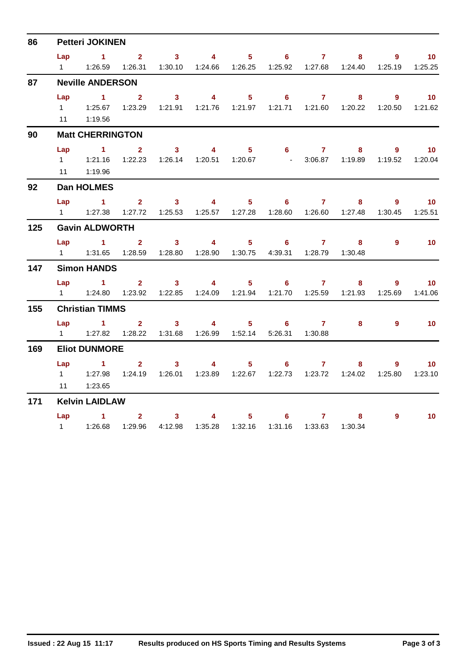| 86  |                | <b>Petteri JOKINEN</b>                                                                                |                |                                                                                                                                                                                                                                                                                                                                                                                                                         |                                                                                                                                                                                                                                                                                                                                    |                                   |                            |                     |                                       |                |                  |
|-----|----------------|-------------------------------------------------------------------------------------------------------|----------------|-------------------------------------------------------------------------------------------------------------------------------------------------------------------------------------------------------------------------------------------------------------------------------------------------------------------------------------------------------------------------------------------------------------------------|------------------------------------------------------------------------------------------------------------------------------------------------------------------------------------------------------------------------------------------------------------------------------------------------------------------------------------|-----------------------------------|----------------------------|---------------------|---------------------------------------|----------------|------------------|
|     | Lap            | $1 \t 2$                                                                                              |                |                                                                                                                                                                                                                                                                                                                                                                                                                         | $3 \qquad 4$                                                                                                                                                                                                                                                                                                                       | $5 -$                             |                            | $6\qquad 7$         | 8                                     | $9^{\circ}$    | $\overline{10}$  |
|     | $1 \quad \Box$ |                                                                                                       |                | 1:26.59  1:26.31  1:30.10  1:24.66  1:26.25  1:25.92  1:27.68  1:24.40                                                                                                                                                                                                                                                                                                                                                  |                                                                                                                                                                                                                                                                                                                                    |                                   |                            |                     |                                       | 1:25.19        | 1:25.25          |
| 87  |                | <b>Neville ANDERSON</b>                                                                               |                |                                                                                                                                                                                                                                                                                                                                                                                                                         |                                                                                                                                                                                                                                                                                                                                    |                                   |                            |                     |                                       |                |                  |
|     | Lap            | $\sim$ 1                                                                                              | 2 <sup>1</sup> | 3 <sup>1</sup>                                                                                                                                                                                                                                                                                                                                                                                                          | $\overline{4}$                                                                                                                                                                                                                                                                                                                     | $5 -$                             |                            | $6 \qquad \qquad 7$ | 8                                     | $9^{\circ}$    | 10 <sup>°</sup>  |
|     |                | 1   1:25.67   1:23.29   1:21.91   1:21.76   1:21.97   1:21.71   1:21.60   1:20.22   1:20.50   1:21.62 |                |                                                                                                                                                                                                                                                                                                                                                                                                                         |                                                                                                                                                                                                                                                                                                                                    |                                   |                            |                     |                                       |                |                  |
|     |                | 11 1:19.56                                                                                            |                |                                                                                                                                                                                                                                                                                                                                                                                                                         |                                                                                                                                                                                                                                                                                                                                    |                                   |                            |                     |                                       |                |                  |
| 90  |                | <b>Matt CHERRINGTON</b>                                                                               |                |                                                                                                                                                                                                                                                                                                                                                                                                                         |                                                                                                                                                                                                                                                                                                                                    |                                   |                            |                     |                                       |                |                  |
|     | Lap            | $\sim$ 1                                                                                              | 2 <sup>1</sup> |                                                                                                                                                                                                                                                                                                                                                                                                                         | $3 \t 4$                                                                                                                                                                                                                                                                                                                           |                                   |                            | $5 \t\t 6 \t\t 7$   |                                       | $\overline{9}$ | $\sim$ 10        |
|     |                | 1   1:21.16   1:22.23   1:26.14   1:20.51   1:20.67   - 3:06.87   1:19.89                             |                |                                                                                                                                                                                                                                                                                                                                                                                                                         |                                                                                                                                                                                                                                                                                                                                    |                                   |                            |                     |                                       |                | 1:19.52  1:20.04 |
|     |                | 11 1:19.96                                                                                            |                |                                                                                                                                                                                                                                                                                                                                                                                                                         |                                                                                                                                                                                                                                                                                                                                    |                                   |                            |                     |                                       |                |                  |
| 92  |                | <b>Dan HOLMES</b>                                                                                     |                |                                                                                                                                                                                                                                                                                                                                                                                                                         |                                                                                                                                                                                                                                                                                                                                    |                                   |                            |                     |                                       |                |                  |
|     | Lap            | $\sim$ 1                                                                                              |                | $2 \qquad 3 \qquad 4$                                                                                                                                                                                                                                                                                                                                                                                                   |                                                                                                                                                                                                                                                                                                                                    |                                   |                            | $5 \t\t 6 \t\t 7$   |                                       | 9              | $\sim$ 10        |
|     |                | 1   1:27.38   1:27.72   1:25.53   1:25.57   1:27.28   1:28.60   1:26.60   1:27.48   1:30.45   1:25.51 |                |                                                                                                                                                                                                                                                                                                                                                                                                                         |                                                                                                                                                                                                                                                                                                                                    |                                   |                            |                     |                                       |                |                  |
| 125 |                | <b>Gavin ALDWORTH</b>                                                                                 |                |                                                                                                                                                                                                                                                                                                                                                                                                                         |                                                                                                                                                                                                                                                                                                                                    |                                   |                            |                     |                                       |                |                  |
|     | Lap            | $\sim$ $-1$                                                                                           | $2^{\circ}$    | $\overline{\mathbf{3}}$                                                                                                                                                                                                                                                                                                                                                                                                 | $\overline{\mathbf{4}}$                                                                                                                                                                                                                                                                                                            | $5 -$                             | $\overline{\phantom{a}}$ 6 | $\overline{7}$      | 8                                     | 9              | 10               |
|     | $1 \quad$      | 1:31.65                                                                                               |                |                                                                                                                                                                                                                                                                                                                                                                                                                         |                                                                                                                                                                                                                                                                                                                                    |                                   |                            | 4:39.31  1:28.79    | 1:30.48                               |                |                  |
| 147 |                | <b>Simon HANDS</b>                                                                                    |                |                                                                                                                                                                                                                                                                                                                                                                                                                         |                                                                                                                                                                                                                                                                                                                                    |                                   |                            |                     |                                       |                |                  |
|     | Lap            | $\sim$ $\sim$ 1.                                                                                      |                | $2 \t 3$                                                                                                                                                                                                                                                                                                                                                                                                                | $\sim$ 4                                                                                                                                                                                                                                                                                                                           |                                   |                            | $5 \t\t 6 \t\t 7$   | 8                                     | 9              | 10 <sup>°</sup>  |
|     |                | 1   1:24.80   1:23.92   1:22.85   1:24.09   1:21.94   1:21.70   1:25.59   1:21.93                     |                |                                                                                                                                                                                                                                                                                                                                                                                                                         |                                                                                                                                                                                                                                                                                                                                    |                                   |                            |                     |                                       | 1:25.69        | 1:41.06          |
| 155 |                | <b>Christian TIMMS</b>                                                                                |                |                                                                                                                                                                                                                                                                                                                                                                                                                         |                                                                                                                                                                                                                                                                                                                                    |                                   |                            |                     |                                       |                |                  |
|     |                | $Lap$ 1                                                                                               |                | 3 <sup>7</sup><br>$\overline{\mathbf{2}}$ and $\overline{\mathbf{2}}$ and $\overline{\mathbf{2}}$ and $\overline{\mathbf{2}}$ and $\overline{\mathbf{2}}$ and $\overline{\mathbf{2}}$ and $\overline{\mathbf{2}}$ and $\overline{\mathbf{2}}$ and $\overline{\mathbf{2}}$ and $\overline{\mathbf{2}}$ and $\overline{\mathbf{2}}$ and $\overline{\mathbf{2}}$ and $\overline{\mathbf{2}}$ and $\overline{\mathbf{2}}$ a | $\overline{4}$                                                                                                                                                                                                                                                                                                                     |                                   | $5 \t\t 6 \t\t 7$          |                     | 8                                     | 9              | 10 <sup>°</sup>  |
|     |                | 1   1:27.82   1:28.22   1:31.68   1:26.99   1:52.14   5:26.31   1:30.88                               |                |                                                                                                                                                                                                                                                                                                                                                                                                                         |                                                                                                                                                                                                                                                                                                                                    |                                   |                            |                     |                                       |                |                  |
| 169 |                | <b>Eliot DUNMORE</b>                                                                                  |                |                                                                                                                                                                                                                                                                                                                                                                                                                         |                                                                                                                                                                                                                                                                                                                                    |                                   |                            |                     |                                       |                |                  |
|     |                | Lap 1                                                                                                 |                | $2 \t 3$                                                                                                                                                                                                                                                                                                                                                                                                                | $\overline{4}$ and $\overline{4}$ and $\overline{4}$ and $\overline{4}$ and $\overline{4}$ and $\overline{4}$ and $\overline{4}$ and $\overline{4}$ and $\overline{4}$ and $\overline{4}$ and $\overline{4}$ and $\overline{4}$ and $\overline{4}$ and $\overline{4}$ and $\overline{4}$ and $\overline{4}$ and $\overline{4}$ and | $5 -$                             |                            | $6\qquad 7$         | 8                                     | 9              | $\overline{10}$  |
|     | $1 \quad$      | 1:27.98                                                                                               |                | 1:24.19  1:26.01  1:23.89  1:22.67  1:22.73  1:23.72  1:24.02  1:25.80                                                                                                                                                                                                                                                                                                                                                  |                                                                                                                                                                                                                                                                                                                                    |                                   |                            |                     |                                       |                | 1:23.10          |
|     |                | 11  1:23.65                                                                                           |                |                                                                                                                                                                                                                                                                                                                                                                                                                         |                                                                                                                                                                                                                                                                                                                                    |                                   |                            |                     |                                       |                |                  |
| 171 |                | <b>Kelvin LAIDLAW</b>                                                                                 |                |                                                                                                                                                                                                                                                                                                                                                                                                                         |                                                                                                                                                                                                                                                                                                                                    |                                   |                            |                     |                                       |                |                  |
|     |                | Lap 1                                                                                                 |                | $\overline{\mathbf{2}}$                                                                                                                                                                                                                                                                                                                                                                                                 | $3 \left  \right $                                                                                                                                                                                                                                                                                                                 | $\overline{4}$ and $\overline{4}$ | $5 - 5$                    | $6 \qquad \qquad$   | $7 \quad \overline{\phantom{1}}$<br>8 | $\overline{9}$ | 10               |
|     |                | 1    1:26.68    1:29.96    4:12.98    1:35.28    1:32.16    1:31.16    1:33.63                        |                |                                                                                                                                                                                                                                                                                                                                                                                                                         |                                                                                                                                                                                                                                                                                                                                    |                                   |                            |                     | 1:30.34                               |                |                  |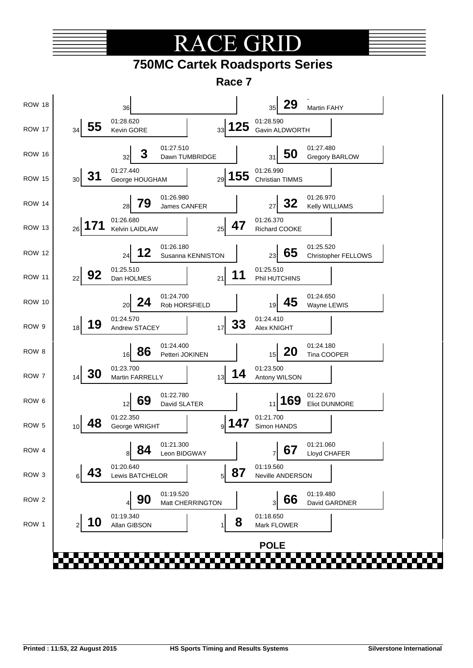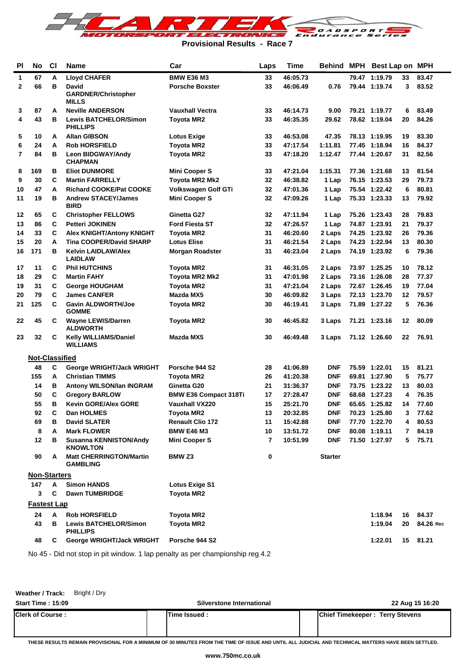

**Provisional Results - Race 7**

| PI             | <b>No</b>             | C <sub>1</sub> | <b>Name</b>                                      | Car<br>Laps                  |    | Time     |                | Behind MPH Best Lap on MPH |    |           |
|----------------|-----------------------|----------------|--------------------------------------------------|------------------------------|----|----------|----------------|----------------------------|----|-----------|
| 1              | 67                    | А              | <b>Lloyd CHAFER</b>                              | <b>BMW E36 M3</b>            | 33 | 46:05.73 |                | 79.47 1:19.79              | 33 | 83.47     |
| 2              | 66                    | в              | <b>David</b>                                     | <b>Porsche Boxster</b>       | 33 | 46:06.49 | 0.76           | 79.44 1:19.74              | 3  | 83.52     |
|                |                       |                | <b>GARDNER/Christopher</b><br><b>MILLS</b>       |                              |    |          |                |                            |    |           |
| 3              | 87                    | A              | <b>Neville ANDERSON</b>                          | <b>Vauxhall Vectra</b>       | 33 | 46:14.73 | 9.00           | 79.21 1:19.77              | 6  | 83.49     |
| 4              | 43                    | в              | <b>Lewis BATCHELOR/Simon</b><br><b>PHILLIPS</b>  | <b>Toyota MR2</b>            | 33 | 46:35.35 | 29.62          | 78.62 1:19.04              | 20 | 84.26     |
| 5              | 10                    | A              | <b>Allan GIBSON</b>                              | <b>Lotus Exige</b>           | 33 | 46:53.08 | 47.35          | 78.13 1:19.95              | 19 | 83.30     |
| 6              | 24                    | А              | <b>Rob HORSFIELD</b>                             | <b>Toyota MR2</b>            | 33 | 47:17.54 | 1:11.81        | 77.45 1:18.94              | 16 | 84.37     |
| $\overline{7}$ | 84                    | в              | Leon BIDGWAY/Andy<br><b>CHAPMAN</b>              | <b>Toyota MR2</b>            | 33 | 47:18.20 | 1:12.47        | 77.44 1:20.67              | 31 | 82.56     |
| 8              | 169                   | в              | <b>Eliot DUNMORE</b>                             | <b>Mini Cooper S</b>         | 33 | 47:21.04 | 1:15.31        | 77.36 1:21.68              | 13 | 81.54     |
| 9              | 30                    | C              | <b>Martin FARRELLY</b>                           | Toyota MR2 Mk2               | 32 | 46:38.82 | 1 Lap          | 76.15 1:23.53              | 29 | 79.73     |
| 10             | 47                    | А              | <b>Richard COOKE/Pat COOKE</b>                   | Volkswagen Golf GTi          | 32 | 47:01.36 | 1 Lap          | 75.54 1:22.42              | 6  | 80.81     |
| 11             | 19                    | в              | <b>Andrew STACEY/James</b><br><b>BIRD</b>        | <b>Mini Cooper S</b>         | 32 | 47:09.26 | 1 Lap          | 75.33 1:23.33              | 13 | 79.92     |
| 12             | 65                    | С              | <b>Christopher FELLOWS</b>                       | Ginetta G27                  | 32 | 47:11.94 | 1 Lap          | 75.26 1:23.43              | 28 | 79.83     |
| 13             | 86                    | C              | <b>Petteri JOKINEN</b>                           | <b>Ford Fiesta ST</b>        | 32 | 47:26.57 | 1 Lap          | 74.87 1:23.91              | 21 | 79.37     |
| 14             | 33                    | C              | <b>Alex KNIGHT/Antony KNIGHT</b>                 | <b>Toyota MR2</b>            | 31 | 46:20.60 | 2 Laps         | 74.25 1:23.92              | 26 | 79.36     |
| 15             | 20                    | А              | <b>Tina COOPER/David SHARP</b>                   | <b>Lotus Elise</b>           | 31 | 46:21.54 | 2 Laps         | 74.23 1:22.94              | 13 | 80.30     |
| 16             | 171                   | в              | <b>Kelvin LAIDLAW/Alex</b><br><b>LAIDLAW</b>     | <b>Morgan Roadster</b>       | 31 | 46:23.04 | 2 Laps         | 74.19 1:23.92              | 6  | 79.36     |
| 17             | 11                    | С              | <b>Phil HUTCHINS</b>                             | <b>Toyota MR2</b>            | 31 | 46:31.05 | 2 Laps         | 73.97 1:25.25              | 10 | 78.12     |
| 18             | 29                    | C              | <b>Martin FAHY</b>                               | Toyota MR2 Mk2               | 31 | 47:01.98 | 2 Laps         | 73.16 1:26.08              | 28 | 77.37     |
| 19             | 31                    | C              | <b>George HOUGHAM</b>                            | <b>Toyota MR2</b>            | 31 | 47:21.04 | 2 Laps         | 72.67 1:26.45              | 19 | 77.04     |
| 20             | 79                    | C              | <b>James CANFER</b>                              | Mazda MX5                    | 30 | 46:09.82 | 3 Laps         | 72.13 1:23.70              | 12 | 79.57     |
| 21             | 125                   | C              | <b>Gavin ALDWORTH/Joe</b><br><b>GOMME</b>        | <b>Toyota MR2</b>            | 30 | 46:19.41 | 3 Laps         | 71.89 1:27.22              | 5  | 76.36     |
| 22             | 45                    | С              | <b>Wayne LEWIS/Darren</b><br><b>ALDWORTH</b>     | Toyota MR2                   | 30 | 46:45.82 | 3 Laps         | 71.21 1:23.16              | 12 | 80.09     |
| 23             | 32                    | С              | Kelly WILLIAMS/Daniel<br><b>WILLIAMS</b>         | Mazda MX5                    | 30 | 46:49.48 | 3 Laps         | 71.12 1:26.60              | 22 | 76.91     |
|                | <b>Not-Classified</b> |                |                                                  |                              |    |          |                |                            |    |           |
|                | 48                    | C              | George WRIGHT/Jack WRIGHT                        | Porsche 944 S2               | 28 | 41:06.89 | <b>DNF</b>     | 75.59 1:22.01              | 15 | 81.21     |
|                | 155                   | А              | <b>Christian TIMMS</b>                           | <b>Toyota MR2</b>            | 26 | 41:20.38 | <b>DNF</b>     | 69.81 1:27.90              | 5  | 75.77     |
|                | 14                    | в              | Antony WILSON/Ian INGRAM                         | Ginetta G20                  | 21 | 31:36.37 | <b>DNF</b>     | 73.75 1:23.22              | 13 | 80.03     |
|                | 50                    | C              | <b>Gregory BARLOW</b>                            | <b>BMW E36 Compact 318Ti</b> | 17 | 27:28.47 | <b>DNF</b>     | 68.68 1:27.23              | 4  | 76.35     |
|                | 55                    | в              | <b>Kevin GORE/Alex GORE</b>                      | Vauxhall VX220               | 15 | 25:21.70 | <b>DNF</b>     | 65.65 1:25.82              | 14 | 77.60     |
|                | 92                    | С              | Dan HOLMES                                       | Toyota MR2                   | 13 | 20:32.85 | <b>DNF</b>     | 70.23 1:25.80              | 3  | 77.62     |
|                | 69                    | В              | <b>David SLATER</b>                              | <b>Renault Clio 172</b>      | 11 | 15:42.88 | <b>DNF</b>     | 77.70 1:22.70              | 4  | 80.53     |
|                | 8                     | А              | <b>Mark FLOWER</b>                               | <b>BMW E46 M3</b>            | 10 | 13:51.72 | <b>DNF</b>     | 80.08 1:19.11              | 7  | 84.19     |
|                | 12                    | в              | <b>Susanna KENNISTON/Andy</b><br><b>KNOWLTON</b> | Mini Cooper S                | 7  | 10:51.99 | <b>DNF</b>     | 71.50 1:27.97              |    | 5 75.71   |
|                | 90                    | A              | <b>Matt CHERRINGTON/Martin</b><br>GAMBLING       | <b>BMW Z3</b>                | 0  |          | <b>Starter</b> |                            |    |           |
|                | <b>Non-Starters</b>   |                |                                                  |                              |    |          |                |                            |    |           |
|                | 147                   | Α              | <b>Simon HANDS</b>                               | <b>Lotus Exige S1</b>        |    |          |                |                            |    |           |
|                | 3                     | C              | <b>Dawn TUMBRIDGE</b>                            | <b>Toyota MR2</b>            |    |          |                |                            |    |           |
|                | <b>Fastest Lap</b>    |                |                                                  |                              |    |          |                |                            |    |           |
|                | 24                    | A              | <b>Rob HORSFIELD</b>                             | <b>Toyota MR2</b>            |    |          |                | 1:18.94                    | 16 | 84.37     |
|                | 43                    | в              | <b>Lewis BATCHELOR/Simon</b><br><b>PHILLIPS</b>  | <b>Toyota MR2</b>            |    |          |                | 1:19.04                    | 20 | 84.26 Rec |
|                | 48                    | C              | George WRIGHT/Jack WRIGHT                        | Porsche 944 S2               |    |          |                | 1:22.01                    |    | 15 81.21  |

No 45 - Did not stop in pit window. 1 lap penalty as per championship reg 4.2

**Weather / Track:** Bright / Dry

| <b>Start Time: 15:09</b> | Silverstone International | 22 Aug 15 16:20                        |
|--------------------------|---------------------------|----------------------------------------|
| <b>Clerk of Course:</b>  | Time Issued:              | <b>Chief Timekeeper: Terry Stevens</b> |

**THESE RESULTS REMAIN PROVISIONAL FOR A MINIMUM OF 30 MINUTES FROM THE TIME OF ISSUE AND UNTIL ALL JUDICIAL AND TECHNICAL MATTERS HAVE BEEN SETTLED.**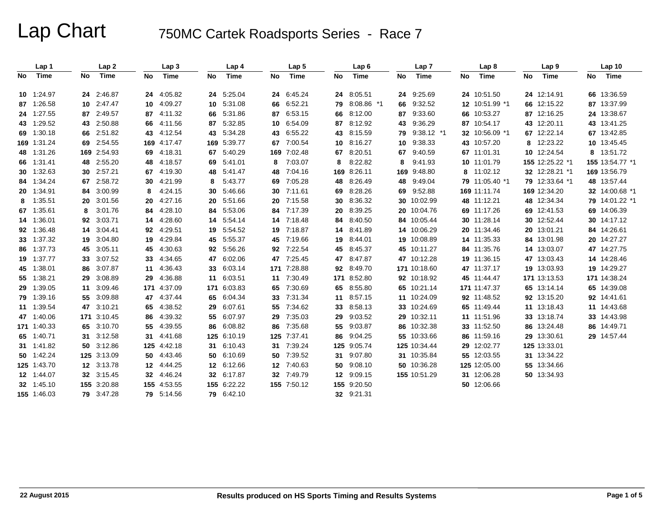|    | Lap 1       |    | Lap <sub>2</sub> |    | Lap <sub>3</sub> |     | Lap 4      |    | Lap <sub>5</sub> |    | Lap6        |    | Lap <sub>7</sub> |    | Lap <sub>8</sub> |    | Lap <sub>9</sub> |     | Lap <sub>10</sub> |
|----|-------------|----|------------------|----|------------------|-----|------------|----|------------------|----|-------------|----|------------------|----|------------------|----|------------------|-----|-------------------|
| No | Time        | No | Time             | No | Time             | No  | Time       | No | <b>Time</b>      | No | Time        | No | Time             | No | <b>Time</b>      | No | Time             | No. | Time              |
|    | 10 1:24.97  |    | 24 2:46.87       |    | 24 4:05.82       | 24  | 5:25.04    |    | 24 6:45.24       |    | 24 8:05.51  |    | 24 9:25.69       |    | 24 10:51.50      |    | 24 12:14.91      |     | 66 13:36.59       |
|    | 87 1:26.58  |    | 10 2:47.47       |    | 10 4:09.27       | 10  | 5:31.08    |    | 66 6:52.21       | 79 | 8:08.86 *1  |    | 66 9:32.52       |    | 12 10:51.99 *1   |    | 66 12:15.22      |     | 87 13:37.99       |
|    | 24 1:27.55  |    | 87 2:49.57       | 87 | 4:11.32          | 66  | 5:31.86    | 87 | 6:53.15          | 66 | 8:12.00     | 87 | 9:33.60          |    | 66 10:53.27      |    | 87 12:16.25      |     | 24 13:38.67       |
|    | 43 1:29.52  |    | 43 2:50.88       | 66 | 4:11.56          | 87  | 5:32.85    | 10 | 6:54.09          | 87 | 8:12.92     | 43 | 9:36.29          |    | 87 10:54.17      | 43 | 12:20.11         |     | 43 13:41.25       |
|    | 69 1:30.18  | 66 | 2:51.82          | 43 | 4:12.54          | 43  | 5:34.28    |    | 43 6:55.22       | 43 | 8:15.59     | 79 | $9:38.12$ *1     |    | 32 10:56.09 *1   | 67 | 12:22.14         |     | 67 13:42.85       |
|    | 169 1:31.24 |    | 69 2:54.55       |    | 169 4:17.47      | 169 | 5:39.77    | 67 | 7:00.54          | 10 | 8:16.27     | 10 | 9:38.33          |    | 43 10:57.20      | 8  | 12:23.22         |     | 10 13:45.45       |
|    | 48 1:31.26  |    | 169 2:54.93      | 69 | 4:18.31          | 67  | 5:40.29    |    | 169 7:02.48      | 67 | 8:20.51     |    | 67 9:40.59       |    | 67 11:01.31      | 10 | 12:24.54         |     | 8 13:51.72        |
|    | 66 1:31.41  |    | 48 2:55.20       | 48 | 4:18.57          | 69  | 5.41.01    | 8  | 7:03.07          | 8  | 8:22.82     | 8  | 9:41.93          |    | 10 11:01.79      |    | 155 12:25.22 *1  |     | 155 13:54.77 *1   |
|    | 30 1:32.63  |    | 30 2:57.21       | 67 | 4:19.30          | 48  | 5:41.47    | 48 | 7:04.16          |    | 169 8:26.11 |    | 169 9:48.80      |    | 8 11:02.12       |    | 32 12:28.21 *1   |     | 169 13:56.79      |
|    | 84 1:34.24  |    | 67 2:58.72       | 30 | 4:21.99          | 8   | 5:43.77    | 69 | 7:05.28          | 48 | 8:26.49     | 48 | 9:49.04          |    | 79 11:05.40 *1   |    | 79 12:33.64 *1   |     | 48 13:57.44       |
|    | 20 1:34.91  | 84 | 3:00.99          | 8  | 4:24.15          | 30  | 5:46.66    |    | 30 7:11.61       | 69 | 8:28.26     | 69 | 9:52.88          |    | 169 11:11.74     |    | 169 12:34.20     |     | 32 14:00.68 *1    |
|    | 8 1:35.51   | 20 | 3:01.56          | 20 | 4:27.16          | 20  | 5:51.66    |    | 20 7:15.58       | 30 | 8:36.32     |    | 30 10:02.99      |    | 48 11:12.21      |    | 48 12:34.34      |     | 79 14:01.22 *1    |
|    | 67 1:35.61  | 8  | 3:01.76          | 84 | 4:28.10          | 84  | 5:53.06    |    | 84 7:17.39       | 20 | 8:39.25     |    | 20 10:04.76      |    | 69 11:17.26      | 69 | 12:41.53         |     | 69 14:06.39       |
|    | 14 1:36.01  |    | 92 3:03.71       |    | 14 4:28.60       | 14  | 5:54.14    |    | 14 7:18.48       | 84 | 8:40.50     |    | 84 10:05.44      |    | 30 11:28.14      |    | 30 12:52.44      |     | 30 14:17.12       |
|    | 92 1:36.48  |    | 14 3:04.41       |    | 92 4:29.51       | 19  | 5:54.52    |    | 19 7:18.87       | 14 | 8:41.89     |    | 14 10:06.29      |    | 20 11:34.46      |    | 20 13:01.21      |     | 84 14:26.61       |
|    | 33 1:37.32  | 19 | 3:04.80          | 19 | 4:29.84          | 45  | 5:55.37    |    | 45 7:19.66       | 19 | 8:44.01     |    | 19 10:08.89      |    | 14 11:35.33      | 84 | 13:01.98         |     | 20 14:27.27       |
|    | 86 1:37.73  |    | 45 3:05.11       | 45 | 4:30.63          | 92  | 5:56.26    |    | 92 7:22.54       | 45 | 8:45.37     |    | 45 10:11.27      |    | 84 11:35.76      |    | 14 13:03.07      |     | 47 14:27.75       |
|    | 19 1:37.77  |    | 33 3:07.52       | 33 | 4:34.65          | 47  | 6:02.06    |    | 47 7:25.45       | 47 | 8:47.87     |    | 47 10:12.28      |    | 19 11:36.15      | 47 | 13:03.43         |     | 14 14:28.46       |
|    | 45 1:38.01  | 86 | 3:07.87          | 11 | 4:36.43          | 33  | 6:03.14    |    | 171 7:28.88      | 92 | 8:49.70     |    | 171 10:18.60     |    | 47 11:37.17      |    | 19 13:03.93      |     | 19 14:29.27       |
|    | 55 1:38.21  | 29 | 3:08.89          | 29 | 4:36.88          | 11  | 6:03.51    |    | 11 7:30.49       |    | 171 8:52.80 |    | 92 10:18.92      |    | 45 11:44.47      |    | 171 13:13.53     |     | 171 14:38.24      |
|    | 29 1:39.05  |    | 11 3:09.46       |    | 171 4:37.09      | 171 | 6:03.83    |    | 65 7:30.69       | 65 | 8:55.80     |    | 65 10:21.14      |    | 171 11:47.37     |    | 65 13:14.14      |     | 65 14:39.08       |
|    | 79 1:39.16  |    | 55 3:09.88       |    | 47 4:37.44       | 65  | 6:04.34    |    | 33 7:31.34       |    | 11 8:57.15  |    | 11 10:24.09      |    | 92 11:48.52      |    | 92 13:15.20      |     | 92 14:41.61       |
|    | 11 1:39.54  |    | 47 3:10.21       | 65 | 4:38.52          | 29  | 6:07.61    |    | 55 7:34.62       | 33 | 8:58.13     |    | 33 10:24.69      |    | 65 11:49.44      |    | 11 13:18.43      |     | 11 14:43.68       |
|    | 47 1:40.06  |    | 171 3:10.45      | 86 | 4:39.32          | 55  | 6:07.97    | 29 | 7:35.03          | 29 | 9:03.52     |    | 29 10:32.11      |    | 11 11:51.96      | 33 | 13:18.74         |     | 33 14:43.98       |
|    | 171 1:40.33 |    | 65 3:10.70       | 55 | 4:39.55          | 86  | 6:08.82    |    | 86 7:35.68       | 55 | 9:03.87     |    | 86 10:32.38      |    | 33 11:52.50      | 86 | 13:24.48         |     | 86 14:49.71       |
|    | 65 1:40.71  |    | 31 3:12.58       | 31 | 4:41.68          | 125 | 6:10.19    |    | 125 7:37.41      | 86 | 9:04.25     |    | 55 10:33.66      |    | 86 11:59.16      |    | 29 13:30.61      |     | 29 14:57.44       |
|    | 31 1:41.82  |    | 50 3:12.86       |    | 125 4:42.18      | 31  | 6:10.43    |    | 31 7:39.24       |    | 125 9:05.74 |    | 125 10:34.44     |    | 29 12:02.77      |    | 125 13:33.01     |     |                   |
|    | 50 1:42.24  |    | 125 3:13.09      |    | 50 4:43.46       | 50  | 6:10.69    |    | 50 7:39.52       | 31 | 9:07.80     |    | 31 10:35.84      |    | 55 12:03.55      |    | 31 13:34.22      |     |                   |
|    | 125 1:43.70 |    | 12 3:13.78       |    | 12 4:44.25       | 12  | 6:12.66    |    | 12 7:40.63       | 50 | 9:08.10     |    | 50 10:36.28      |    | 125 12:05.00     |    | 55 13:34.66      |     |                   |
|    | 12 1:44.07  |    | 32 3:15.45       |    | 32 4:46.24       | 32  | 6:17.87    |    | 32 7:49.79       | 12 | 9:09.15     |    | 155 10:51.29     |    | 31 12:06.28      |    | 50 13:34.93      |     |                   |
|    | 32 1:45.10  |    | 155 3:20.88      |    | 155 4:53.55      | 155 | 6:22.22    |    | 155 7:50.12      |    | 155 9:20.50 |    |                  |    | 50 12:06.66      |    |                  |     |                   |
|    | 155 1:46.03 |    | 79 3:47.28       | 79 | 5:14.56          |     | 79 6:42.10 |    |                  |    | 32 9:21.31  |    |                  |    |                  |    |                  |     |                   |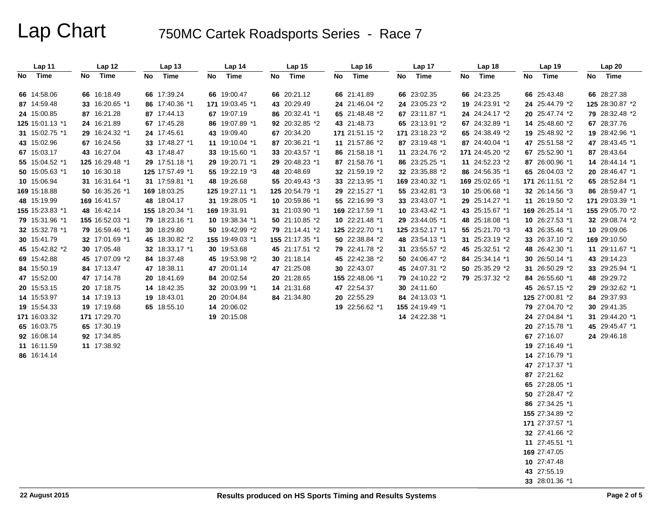| Lap 11          | Lap 12          | Lap 13          | Lap 14          | Lap 15          | Lap 16          | Lap 17          | Lap 18            | Lap 19          | Lap 20          |
|-----------------|-----------------|-----------------|-----------------|-----------------|-----------------|-----------------|-------------------|-----------------|-----------------|
| Time<br>No.     | Time<br>No      | Time<br>No      | Time<br>No      | Time<br>No      | Time<br>No      | No<br>Time      | <b>Time</b><br>No | Time<br>No      | Time<br>No      |
|                 |                 |                 |                 |                 |                 |                 |                   |                 |                 |
| 66 14:58.06     | 66 16:18.49     | 66 17:39.24     | 66 19:00.47     | 66 20:21.12     | 66 21:41.89     | 66 23:02.35     | 66 24:23.25       | 66 25:43.48     | 66 28:27.38     |
| 87 14:59.48     | 33 16:20.65 *1  | 86 17:40.36 *1  | 171 19:03.45 *1 | 43 20:29.49     | 24 21:46.04 *2  | 24 23:05.23 *2  | 19 24:23.91 *2    | 24 25:44.79 *2  | 125 28:30.87 *2 |
| 24 15:00.85     | 87 16:21.28     | 87 17:44.13     | 67 19:07.19     | 86 20:32.41 *1  | 65 21:48.48 *2  | 67 23:11.87 *1  | 24 24:24.17 *2    | 20 25:47.74 *2  | 79 28:32.48 *2  |
| 125 15:01.13 *1 | 24 16:21.89     | 67 17:45.28     | 86 19:07.89 *1  | 92 20:32.85 *2  | 43 21:48.73     | 65 23:13.91 *2  | 67 24:32.89 *1    | 14 25:48.60 *2  | 67 28:37.76     |
| 31 15:02.75 *1  | 29 16:24.32 *1  | 24 17:45.61     | 43 19:09.40     | 67 20:34.20     | 171 21:51.15 *2 | 171 23:18.23 *2 | 65 24:38.49 *2    | 19 25:48.92 *2  | 19 28:42.96 *1  |
| 43 15:02.96     | 67 16:24.56     | 33 17:48.27 *1  | 11 19:10.04 *1  | 87 20:36.21 *1  | 11 21:57.86 *2  | 87 23:19.48 *1  | 87 24:40.04 *1    | 47 25:51.58 *2  | 47 28:43.45 *1  |
| 67 15:03.17     | 43 16:27.04     | 43 17:48.47     | 33 19:15.60 *1  | 33 20:43.57 *1  | 86 21:58.18 *1  | 11 23:24.76 *2  | 171 24:45.20 *2   | 67 25:52.90 *1  | 87 28:43.64     |
| 55 15:04.52 *1  | 125 16:29.48 *1 | 29 17:51.18 *1  | 29 19:20.71 *1  | 29 20:48.23 *1  | 87 21:58.76 *1  | 86 23:25.25 *1  | 11 24:52.23 *2    | 87 26:00.96 *1  | 14 28:44.14 *1  |
| 50 15:05.63 *1  | 10 16:30.18     | 125 17:57.49 *1 | 55 19:22.19 *3  | 48 20:48.69     | 32 21:59.19 *2  | 32 23:35.88 *2  | 86 24:56.35 *1    | 65 26:04.03 *2  | 20 28:46.47 *1  |
| 10 15:06.94     | 31 16:31.64 *1  | 31 17:59.81 *1  | 48 19:26.68     | 55 20:49.43 *3  | 33 22:13.95 *1  | 169 23:40.32 *1 | 169 25:02.65 *1   | 171 26:11.51 *2 | 65 28:52.84 *1  |
| 169 15:18.88    | 50 16:35.26 *1  | 169 18:03.25    | 125 19:27.11 *1 | 125 20:54.79 *1 | 29 22:15.27 *1  | 55 23:42.81 *3  | 10 25:06.68 *1    | 32 26:14.56 *3  | 86 28:59.47 *1  |
| 48 15:19.99     | 169 16:41.57    | 48 18:04.17     | 31 19:28.05 *1  | 10 20:59.86 *1  | 55 22:16.99 *3  | 33 23:43.07 *1  | 29 25:14.27 *1    | 11 26:19.50 *2  | 171 29:03.39 *1 |
| 155 15:23.83 *1 | 48 16:42.14     | 155 18:20.34 *1 | 169 19:31.91    | 31 21:03.90 *1  | 169 22:17.59 *1 | 10 23:43.42 *1  | 43 25:15.67 *1    | 169 26:25.14 *1 | 155 29:05.70 *2 |
| 79 15:31.96 *1  | 155 16:52.03 *1 | 79 18:23.16 *1  | 10 19:38.34 *1  | 50 21:10.85 *2  | 10 22:21.48 *1  | 29 23:44.05 *1  | 48 25:18.08 *1    | 10 26:27.53 *1  | 32 29:08.74 *2  |
| 32 15:32.78 *1  | 79 16:59.46 *1  | 30 18:29.80     | 50 19:42.99 *2  | 79 21:14.41 *2  | 125 22:22.70 *1 | 125 23:52.17 *1 | 55 25:21.70 *3    | 43 26:35.46 *1  | 10 29:09.06     |
| 30 15:41.79     | 32 17:01.69 *1  | 45 18:30.82 *2  | 155 19:49.03 *1 | 155 21:17.35 *1 | 50 22:38.84 *2  | 48 23:54.13 *1  | 31 25:23.19 *2    | 33 26:37.10 *2  | 169 29:10.50    |
| 45 15:42.82 *2  | 30 17:05.48     | 32 18:33.17 *1  | 30 19:53.68     | 45 21:17.51 *2  | 79 22:41.78 *2  | 31 23:55.57 *2  | 45 25:32.51 *2    | 48 26:42.30 *1  | 11 29:11.67 *1  |
| 69 15:42.88     | 45 17:07.09 *2  | 84 18:37.48     | 45 19:53.98 *2  | 30 21:18.14     | 45 22:42.38 *2  | 50 24:06.47 *2  | 84 25:34.14 *1    | 30 26:50.14 *1  | 43 29:14.23     |
| 84 15:50.19     | 84 17:13.47     | 47 18:38.11     | 47 20:01.14     | 47 21:25.08     | 30 22:43.07     | 45 24:07.31 *2  | 50 25:35.29 *2    | 31 26:50.29 *2  | 33 29:25.94 *1  |
| 47 15:52.00     | 47 17:14.78     | 20 18:41.69     | 84 20:02.54     | 20 21:28.65     | 155 22:48.06 *1 | 79 24:10.22 *2  | 79 25:37.32 *2    | 84 26:55.60 *1  | 48 29:29.72     |
| 20 15:53.15     | 20 17:18.75     | 14 18:42.35     | 32 20:03.99 *1  | 14 21:31.68     | 47 22:54.37     | 30 24:11.60     |                   | 45 26:57.15 *2  | 29 29:32.62 *1  |
| 14 15:53.97     | 14 17:19.13     | 19 18:43.01     | 20 20:04.84     | 84 21:34.80     | 20 22:55.29     | 84 24:13.03 *1  |                   | 125 27:00.81 *2 | 84 29:37.93     |
| 19 15:54.33     | 19 17:19.68     | 65 18:55.10     | 14 20:06.02     |                 | 19 22:56.62 *1  | 155 24:19.49 *1 |                   | 79 27:04.70 *2  | 30 29:41.35     |
| 171 16:03.32    | 171 17:29.70    |                 | 19 20:15.08     |                 |                 | 14 24:22.38 *1  |                   | 24 27:04.84 *1  | 31 29:44.20 *1  |
| 65 16:03.75     | 65 17:30.19     |                 |                 |                 |                 |                 |                   | 20 27:15.78 *1  | 45 29:45.47 *1  |
| 92 16:08.14     | 92 17:34.85     |                 |                 |                 |                 |                 |                   | 67 27:16.07     | 24 29:46.18     |
| 11 16:11.59     | 11 17:38.92     |                 |                 |                 |                 |                 |                   | 19 27:16.49 *1  |                 |
| 86 16:14.14     |                 |                 |                 |                 |                 |                 |                   | 14 27:16.79 *1  |                 |
|                 |                 |                 |                 |                 |                 |                 |                   | 47 27:17.37 *1  |                 |
|                 |                 |                 |                 |                 |                 |                 |                   | 87 27:21.62     |                 |
|                 |                 |                 |                 |                 |                 |                 |                   | 65 27:28.05 *1  |                 |
|                 |                 |                 |                 |                 |                 |                 |                   | 50 27:28.47 *2  |                 |
|                 |                 |                 |                 |                 |                 |                 |                   | 86 27:34.25 *1  |                 |
|                 |                 |                 |                 |                 |                 |                 |                   | 155 27:34.89 *2 |                 |
|                 |                 |                 |                 |                 |                 |                 |                   | 171 27:37.57 *1 |                 |
|                 |                 |                 |                 |                 |                 |                 |                   | 32 27:41.66 *2  |                 |
|                 |                 |                 |                 |                 |                 |                 |                   | 11 27:45.51 *1  |                 |
|                 |                 |                 |                 |                 |                 |                 |                   | 169 27:47.05    |                 |
|                 |                 |                 |                 |                 |                 |                 |                   | 10 27:47.48     |                 |
|                 |                 |                 |                 |                 |                 |                 |                   | 43 27:55.19     |                 |
|                 |                 |                 |                 |                 |                 |                 |                   | 33 28:01.36 *1  |                 |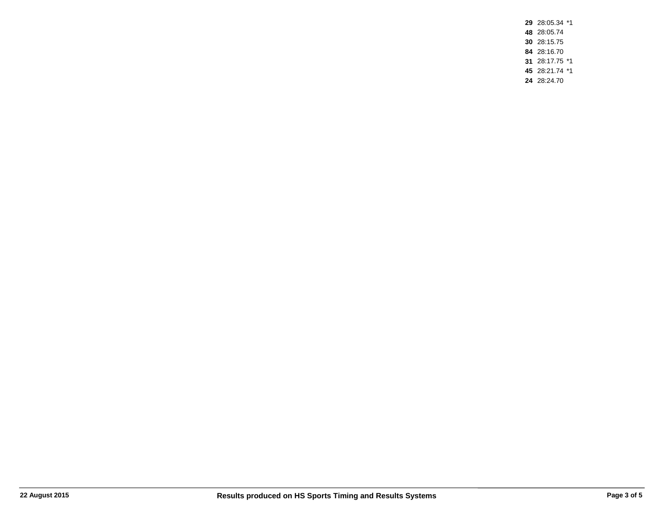28:05.34 \*1 28:05.74 28:15.75 28:16.70 28:17.75 \*1 28:21.74 \*1 28:24.70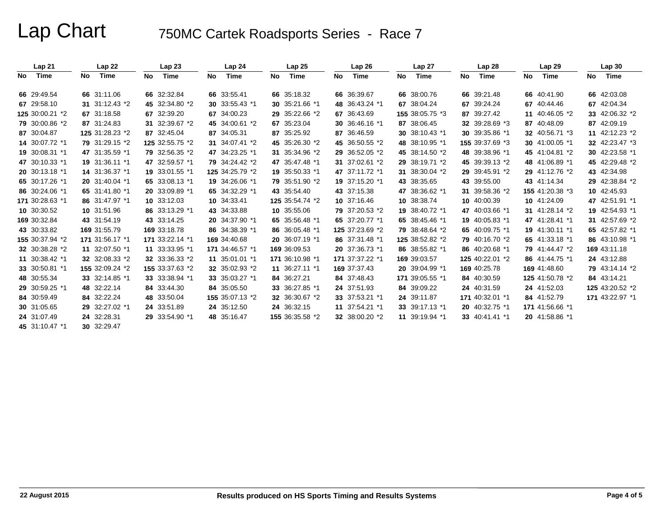|     | Lap <sub>21</sub> |    | Lap22           |    | Lap23           |    | Lap <sub>24</sub> |    | Lap25           |    | Lap 26          |    | Lap 27          |    | Lap <sub>28</sub> |    | Lap 29          |    | Lap30           |
|-----|-------------------|----|-----------------|----|-----------------|----|-------------------|----|-----------------|----|-----------------|----|-----------------|----|-------------------|----|-----------------|----|-----------------|
| No. | Time              | No | Time            | No | Time            | No | Time              | No | Time            | No | Time            | No | Time            | No | Time              | No | Time            | No | Time            |
|     | 66 29:49.54       |    | 66 31:11.06     |    | 66 32:32.84     |    | 66 33:55.41       |    | 66 35:18.32     |    | 66 36:39.67     |    | 66 38:00.76     |    | 66 39:21.48       |    | 66 40:41.90     |    | 66 42:03.08     |
|     | 67 29:58.10       |    | 31 31:12.43 *2  |    | 45 32:34.80 *2  |    | 30 33:55.43 *1    |    | 30 35:21.66 *1  |    | 48 36:43.24 *1  |    | 67 38:04.24     |    | 67 39:24.24       |    | 67 40:44.46     |    | 67 42:04.34     |
|     | 125 30:00.21 *2   |    | 67 31:18.58     |    | 67 32:39.20     |    | 67 34:00.23       |    | 29 35:22.66 *2  |    | 67 36:43.69     |    | 155 38:05.75 *3 |    | 87 39:27.42       | 11 | 40:46.05 *2     |    | 33 42:06.32 *2  |
|     | 79 30:00.86 *2    |    | 87 31:24.83     |    | 31 32:39.67 *2  |    | 45 34:00.61 *2    |    | 67 35:23.04     |    | 30 36:46.16 *1  |    | 87 38:06.45     |    | 32 39:28.69 *3    |    | 87 40:48.09     |    | 87 42:09.19     |
|     | 87 30:04.87       |    | 125 31:28.23 *2 |    | 87 32:45.04     |    | 87 34:05.31       |    | 87 35:25.92     |    | 87 36:46.59     |    | 30 38:10.43 *1  |    | 30 39:35.86 *1    |    | 32 40:56.71 *3  |    | 11 42:12.23 *2  |
|     | 14 30:07.72 *1    |    | 79 31:29.15 *2  |    | 125 32:55.75 *2 |    | 31 34:07.41 *2    |    | 45 35:26.30 *2  |    | 45 36:50.55 *2  |    | 48 38:10.95 *1  |    | 155 39:37.69 *3   |    | 30 41:00.05 *1  |    | 32 42:23.47 *3  |
|     | 19 30:08.31 *1    |    | 47 31:35.59 *1  |    | 79 32:56.35 *2  |    | 47 34:23.25 *1    |    | 31 35:34.96 *2  |    | 29 36:52.05 *2  |    | 45 38:14.50 *2  |    | 48 39:38.96 *1    |    | 45 41:04.81 *2  |    | 30 42:23.58 *1  |
|     | 47 30:10.33 *1    |    | 19 31:36.11 *1  |    | 47 32:59.57 *1  |    | 79 34:24.42 *2    |    | 47 35:47.48 *1  |    | 31 37:02.61 *2  |    | 29 38:19.71 *2  |    | 45 39:39.13 *2    |    | 48 41:06.89 *1  |    | 45 42:29.48 *2  |
|     | 20 30:13.18 *1    |    | 14 31:36.37 *1  |    | 19 33:01.55 *1  |    | 125 34:25.79 *2   |    | 19 35:50.33 *1  |    | 47 37:11.72 *1  |    | 31 38:30.04 *2  |    | 29 39:45.91 *2    |    | 29 41:12.76 *2  |    | 43 42:34.98     |
|     | 65 30:17.26 *1    |    | 20 31:40.04 *1  |    | 65 33:08.13 *1  |    | 19 34:26.06 *1    |    | 79 35:51.90 *2  |    | 19 37:15.20 *1  |    | 43 38:35.65     |    | 43 39:55.00       |    | 43 41:14.34     |    | 29 42:38.84 *2  |
|     | 86 30:24.06 *1    |    | 65 31:41.80 *1  |    | 20 33:09.89 *1  |    | 65 34:32.29 *1    |    | 43 35:54.40     |    | 43 37:15.38     |    | 47 38:36.62 *1  |    | 31 39:58.36 *2    |    | 155 41:20.38 *3 |    | 10 42:45.93     |
|     | 171 30:28.63 *1   |    | 86 31:47.97 *1  |    | 10 33:12.03     |    | 10 34:33.41       |    | 125 35:54.74 *2 |    | 10 37:16.46     |    | 10 38:38.74     |    | 10 40:00.39       |    | 10 41:24.09     |    | 47 42:51.91 *1  |
|     | 10 30:30.52       |    | 10 31:51.96     |    | 86 33:13.29 *1  |    | 43 34:33.88       |    | 10 35:55.06     |    | 79 37:20.53 *2  |    | 19 38:40.72 *1  |    | 47 40:03.66 *1    |    | 31 41:28.14 *2  |    | 19 42:54.93 *1  |
|     | 169 30:32.84      |    | 43 31:54.19     |    | 43 33:14.25     |    | 20 34:37.90 *1    |    | 65 35:56.48 *1  |    | 65 37:20.77 *1  |    | 65 38:45.46 *1  |    | 19 40:05.83 *1    |    | 47 41:28.41 *1  |    | 31 42:57.69 *2  |
|     | 43 30:33.82       |    | 169 31:55.79    |    | 169 33:18.78    |    | 86 34:38.39 *1    |    | 86 36:05.48 *1  |    | 125 37:23.69 *2 |    | 79 38:48.64 *2  |    | 65 40:09.75 *1    |    | 19 41:30.11 *1  |    | 65 42:57.82 *1  |
|     | 155 30:37.94 *2   |    | 171 31:56.17 *1 |    | 171 33:22.14 *1 |    | 169 34:40.68      |    | 20 36:07.19 *1  |    | 86 37:31.48 *1  |    | 125 38:52.82 *2 |    | 79 40:16.70 *2    |    | 65 41:33.18 *1  |    | 86 43:10.98 *1  |
|     | 32 30:38.28 *2    |    | 11 32:07.50 *1  |    | 11 33:33.95 *1  |    | 171 34:46.57 *1   |    | 169 36:09.53    |    | 20 37:36.73 *1  |    | 86 38:55.82 *1  |    | 86 40:20.68 *1    |    | 79 41:44.47 *2  |    | 169 43:11.18    |
|     | 11 30:38.42 *1    |    | 32 32:08.33 *2  |    | 32 33:36.33 *2  |    | 11 35:01.01 *1    |    | 171 36:10.98 *1 |    | 171 37:37.22 *1 |    | 169 39:03.57    |    | 125 40:22.01 *2   |    | 86 41:44.75 *1  |    | 24 43:12.88     |
|     | 33 30:50.81 *1    |    | 155 32:09.24 *2 |    | 155 33:37.63 *2 |    | 32 35:02.93 *2    |    | 11 36:27.11 *1  |    | 169 37:37.43    |    | 20 39:04.99 *1  |    | 169 40:25.78      |    | 169 41:48.60    |    | 79 43:14.14 *2  |
|     | 48 30:55.34       |    | 33 32:14.85 *1  |    | 33 33:38.94 *1  |    | 33 35:03.27 *1    |    | 84 36:27.21     |    | 84 37:48.43     |    | 171 39:05.55 *1 |    | 84 40:30.59       |    | 125 41:50.78 *2 |    | 84 43:14.21     |
|     | 29 30:59.25 *1    |    | 48 32:22.14     |    | 84 33:44.30     |    | 84 35:05.50       |    | 33 36:27.85 *1  |    | 24 37:51.93     |    | 84 39:09.22     |    | 24 40:31.59       |    | 24 41:52.03     |    | 125 43:20.52 *2 |
|     | 84 30:59.49       |    | 84 32:22.24     |    | 48 33:50.04     |    | 155 35:07.13 *2   |    | 32 36:30.67 *2  |    | 33 37:53.21 *1  |    | 24 39:11.87     |    | 171 40:32.01 *1   |    | 84 41:52.79     |    | 171 43:22.97 *1 |
|     | 30 31:05.65       |    | 29 32:27.02 *1  |    | 24 33:51.89     |    | 24 35:12.50       |    | 24 36:32.15     |    | 11 37:54.21 *1  |    | 33 39:17.13 *1  |    | 20 40:32.75 *1    |    | 171 41:56.66 *1 |    |                 |
|     | 24 31:07.49       |    | 24 32:28.31     |    | 29 33:54.90 *1  |    | 48 35:16.47       |    | 155 36:35.58 *2 |    | 32 38:00.20 *2  |    | 11 39:19.94 *1  |    | 33 40:41.41 *1    |    | 20 41:58.86 *1  |    |                 |
|     | 45 31:10.47 *1    |    | 30 32:29.47     |    |                 |    |                   |    |                 |    |                 |    |                 |    |                   |    |                 |    |                 |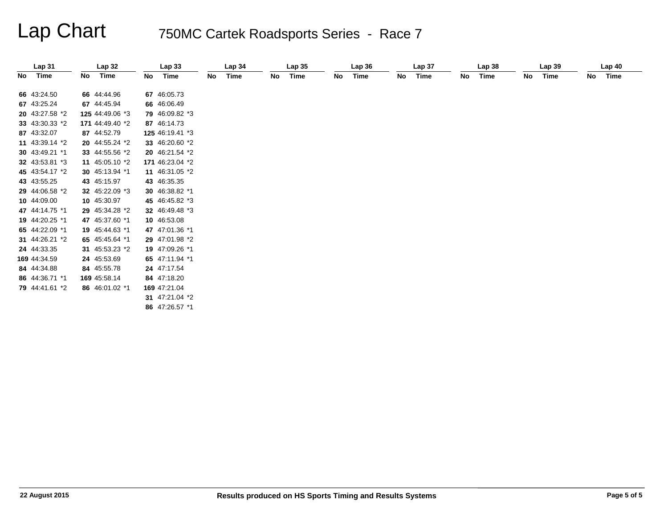|    | Lap <sub>31</sub> |    | Lap32           |    | Lap <sub>33</sub> |    | Lap <sub>34</sub> |    | Lap <sub>35</sub> |    | Lap36 |    | Lap <sub>37</sub> |    | Lap <sub>38</sub> |    | Lap <sub>39</sub> |    | Lap <sub>40</sub> |
|----|-------------------|----|-----------------|----|-------------------|----|-------------------|----|-------------------|----|-------|----|-------------------|----|-------------------|----|-------------------|----|-------------------|
| No | Time              | No | Time            | No | Time              | No | Time              | No | Time              | No | Time  | No | Time              | No | Time              | No | Time              | No | Time              |
|    | 66 43:24.50       |    | 66 44:44.96     |    | 67 46:05.73       |    |                   |    |                   |    |       |    |                   |    |                   |    |                   |    |                   |
|    | 67 43:25.24       |    | 67 44:45.94     |    | 66 46:06.49       |    |                   |    |                   |    |       |    |                   |    |                   |    |                   |    |                   |
|    | 20 43:27.58 *2    |    | 125 44:49.06 *3 |    | 79 46:09.82 *3    |    |                   |    |                   |    |       |    |                   |    |                   |    |                   |    |                   |
|    | 33 43:30.33 *2    |    | 171 44:49.40 *2 |    | 87 46:14.73       |    |                   |    |                   |    |       |    |                   |    |                   |    |                   |    |                   |
|    | 87 43:32.07       |    | 87 44:52.79     |    | 125 46:19.41 *3   |    |                   |    |                   |    |       |    |                   |    |                   |    |                   |    |                   |
|    | 11 43:39.14 *2    |    | 20 44:55.24 *2  |    | 33 46:20.60 *2    |    |                   |    |                   |    |       |    |                   |    |                   |    |                   |    |                   |
|    | 30 43:49.21 *1    |    | 33 44:55.56 *2  |    | 20 46:21.54 *2    |    |                   |    |                   |    |       |    |                   |    |                   |    |                   |    |                   |
|    | 32 43:53.81 *3    |    | 11 45:05.10 *2  |    | 171 46:23.04 *2   |    |                   |    |                   |    |       |    |                   |    |                   |    |                   |    |                   |
|    | 45 43:54.17 *2    |    | 30 45:13.94 *1  |    | 11 46:31.05 *2    |    |                   |    |                   |    |       |    |                   |    |                   |    |                   |    |                   |
|    |                   |    |                 |    |                   |    |                   |    |                   |    |       |    |                   |    |                   |    |                   |    |                   |
|    | 43 43:55.25       |    | 43 45:15.97     |    | 43 46:35.35       |    |                   |    |                   |    |       |    |                   |    |                   |    |                   |    |                   |
|    | 29 44:06.58 *2    |    | 32 45:22.09 *3  |    | 30 46:38.82 *1    |    |                   |    |                   |    |       |    |                   |    |                   |    |                   |    |                   |
|    | 10 44:09.00       |    | 10 45:30.97     |    | 45 46:45.82 *3    |    |                   |    |                   |    |       |    |                   |    |                   |    |                   |    |                   |
|    | 47 44:14.75 *1    |    | 29 45:34.28 *2  |    | 32 46:49.48 *3    |    |                   |    |                   |    |       |    |                   |    |                   |    |                   |    |                   |
|    | 19 44:20.25 *1    |    | 47 45:37.60 *1  |    | 10 46:53.08       |    |                   |    |                   |    |       |    |                   |    |                   |    |                   |    |                   |
|    | 65 44:22.09 *1    |    | 19 45:44.63 *1  |    | 47 47:01.36 *1    |    |                   |    |                   |    |       |    |                   |    |                   |    |                   |    |                   |
|    | 31 44:26.21 *2    |    | 65 45:45.64 *1  |    | 29 47:01.98 *2    |    |                   |    |                   |    |       |    |                   |    |                   |    |                   |    |                   |
|    | 24 44:33.35       |    | 31 45:53.23 *2  |    | 19 47:09.26 *1    |    |                   |    |                   |    |       |    |                   |    |                   |    |                   |    |                   |
|    | 169 44:34.59      |    | 24 45:53.69     |    | 65 47:11.94 *1    |    |                   |    |                   |    |       |    |                   |    |                   |    |                   |    |                   |
|    | 84 44:34.88       |    | 84 45:55.78     |    | 24 47:17.54       |    |                   |    |                   |    |       |    |                   |    |                   |    |                   |    |                   |
|    | 86 44:36.71 *1    |    | 169 45:58.14    |    | 84 47:18.20       |    |                   |    |                   |    |       |    |                   |    |                   |    |                   |    |                   |
|    | 79 44:41.61 *2    |    | 86 46:01.02 *1  |    | 169 47:21.04      |    |                   |    |                   |    |       |    |                   |    |                   |    |                   |    |                   |
|    |                   |    |                 |    | 31 $47:21.04*2$   |    |                   |    |                   |    |       |    |                   |    |                   |    |                   |    |                   |
|    |                   |    |                 |    | 86 47:26.57 *1    |    |                   |    |                   |    |       |    |                   |    |                   |    |                   |    |                   |
|    |                   |    |                 |    |                   |    |                   |    |                   |    |       |    |                   |    |                   |    |                   |    |                   |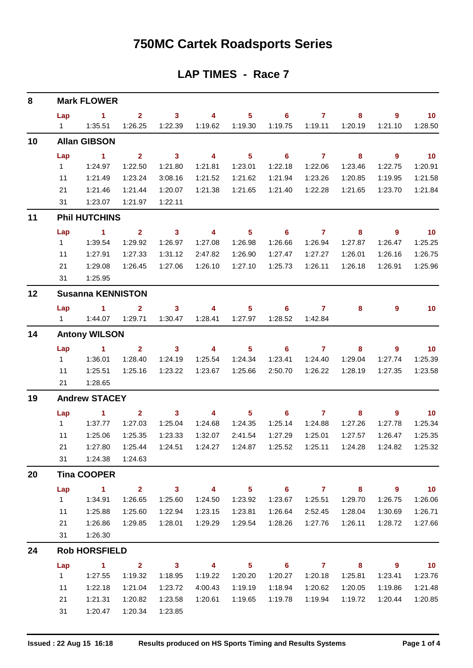## **750MC Cartek Roadsports Series**

#### **LAP TIMES - Race 7**

| 8  |              | <b>Mark FLOWER</b>       |                                |              |               |                            |                |                |         |                            |                 |
|----|--------------|--------------------------|--------------------------------|--------------|---------------|----------------------------|----------------|----------------|---------|----------------------------|-----------------|
|    | Lap          | -1                       | 2 <sup>1</sup>                 | $\mathbf{3}$ | 4             | 5 <sub>5</sub>             | $6\phantom{a}$ | $\overline{7}$ | 8       | 9                          | 10 <sub>1</sub> |
|    | 1            | 1:35.51                  | 1:26.25                        | 1:22.39      | 1:19.62       | 1:19.30                    | 1:19.75        | 1:19.11        | 1:20.19 | 1:21.10                    | 1:28.50         |
| 10 |              | <b>Allan GIBSON</b>      |                                |              |               |                            |                |                |         |                            |                 |
|    | Lap          | 1                        | $\overline{2}$                 | $\mathbf{3}$ | 4             | $5\phantom{.0}$            | 6              | $\mathbf{7}$   | 8       | $\boldsymbol{9}$           | 10 <sub>1</sub> |
|    | $\mathbf 1$  | 1:24.97                  | 1:22.50                        | 1:21.80      | 1:21.81       | 1:23.01                    | 1:22.18        | 1:22.06        | 1:23.46 | 1:22.75                    | 1:20.91         |
|    | 11           | 1:21.49                  | 1:23.24                        | 3:08.16      | 1:21.52       | 1:21.62                    | 1:21.94        | 1:23.26        | 1:20.85 | 1:19.95                    | 1:21.58         |
|    | 21           | 1:21.46                  | 1:21.44                        | 1:20.07      | 1:21.38       | 1:21.65                    | 1:21.40        | 1:22.28        | 1:21.65 | 1:23.70                    | 1:21.84         |
|    | 31           | 1:23.07                  | 1:21.97                        | 1:22.11      |               |                            |                |                |         |                            |                 |
| 11 |              | <b>Phil HUTCHINS</b>     |                                |              |               |                            |                |                |         |                            |                 |
|    | Lap          | 1                        | $\overline{2}$                 | $\mathbf{3}$ | 4             | 5 <sub>5</sub>             | 6              | $\overline{7}$ | 8       | $\overline{9}$             | 10 <sub>1</sub> |
|    | $\mathbf{1}$ | 1:39.54                  | 1:29.92                        | 1:26.97      | 1:27.08       | 1:26.98                    | 1:26.66        | 1:26.94        | 1:27.87 | 1:26.47                    | 1:25.25         |
|    | 11           | 1:27.91                  | 1:27.33                        | 1:31.12      | 2:47.82       | 1:26.90                    | 1:27.47        | 1:27.27        | 1:26.01 | 1:26.16                    | 1:26.75         |
|    | 21           | 1:29.08                  | 1:26.45                        | 1:27.06      | 1:26.10       | 1:27.10                    | 1:25.73        | 1:26.11        | 1:26.18 | 1:26.91                    | 1:25.96         |
|    | 31           | 1:25.95                  |                                |              |               |                            |                |                |         |                            |                 |
| 12 |              | <b>Susanna KENNISTON</b> |                                |              |               |                            |                |                |         |                            |                 |
|    | Lap          | 1                        | $\overline{2}$                 | $\mathbf{3}$ | 4             | $5\phantom{a}$             | 6              | $\overline{7}$ | 8       | 9                          | 10 <sub>1</sub> |
|    | $1 \quad$    | 1:44.07                  | 1:29.71                        | 1:30.47      | 1:28.41       | 1:27.97                    | 1:28.52        | 1:42.84        |         |                            |                 |
| 14 |              | <b>Antony WILSON</b>     |                                |              |               |                            |                |                |         |                            |                 |
|    | Lap          | 1                        | 2 <sup>1</sup>                 | $\mathbf{3}$ | 4             | 5 <sub>5</sub>             | 6              | $\mathbf{7}$   | 8       | 9                          | 10 <sub>1</sub> |
|    | 1            | 1:36.01                  | 1:28.40                        | 1:24.19      | 1:25.54       | 1:24.34                    | 1:23.41        | 1:24.40        | 1:29.04 | 1:27.74                    | 1:25.39         |
|    | 11           | 1:25.51                  | 1:25.16                        | 1:23.22      | 1:23.67       | 1:25.66                    | 2:50.70        | 1:26.22        | 1:28.19 | 1:27.35                    | 1:23.58         |
|    | 21           | 1:28.65                  |                                |              |               |                            |                |                |         |                            |                 |
| 19 |              | <b>Andrew STACEY</b>     |                                |              |               |                            |                |                |         |                            |                 |
|    | Lap          | 1                        | $\mathbf{2}$                   | $\mathbf{3}$ | 4             | $5\phantom{a}$             | 6              | $\overline{7}$ | 8       | 9                          | 10 <sub>1</sub> |
|    | $\mathbf{1}$ | 1:37.77                  | 1:27.03                        | 1:25.04      | 1:24.68       | 1:24.35                    | 1:25.14        | 1:24.88        | 1:27.26 | 1:27.78                    | 1:25.34         |
|    | 11           | 1:25.06                  | 1:25.35                        | 1:23.33      | 1:32.07       | 2:41.54                    | 1:27.29        | 1:25.01        | 1:27.57 | 1:26.47                    | 1:25.35         |
|    | 21           | 1:27.80                  | 1:25.44                        | 1:24.51      | 1:24.27       | 1:24.87                    | 1:25.52        | 1:25.11        | 1:24.28 | 1:24.82                    | 1:25.32         |
|    |              | 31  1:24.38  1:24.63     |                                |              |               |                            |                |                |         |                            |                 |
| 20 |              | <b>Tina COOPER</b>       |                                |              |               |                            |                |                |         |                            |                 |
|    | Lap          | $\sim$ 1.                |                                |              | 2 3 4 5 6 7 8 |                            |                |                |         | $\overline{\phantom{a}}$ 9 | $\overline{10}$ |
|    |              |                          | 1:26.65                        | 1:25.60      | 1:24.50       | 1:23.92                    | 1:23.67        | 1:25.51        | 1:29.70 | 1:26.75                    | 1:26.06         |
|    | 11           | 1:25.88                  | 1:25.60                        | 1:22.94      | 1:23.15       | 1:23.81                    | 1:26.64        | 2:52.45        | 1:28.04 | 1:30.69                    | 1:26.71         |
|    | 21           | 1:26.86                  | 1:29.85                        | 1:28.01      | 1:29.29       | 1:29.54                    | 1:28.26        | 1:27.76        | 1:26.11 | 1:28.72                    | 1:27.66         |
|    |              | 31  1:26.30              |                                |              |               |                            |                |                |         |                            |                 |
| 24 |              | <b>Rob HORSFIELD</b>     |                                |              |               |                            |                |                |         |                            |                 |
|    | Lap          |                          | $1 \qquad 2 \qquad 3 \qquad 4$ |              |               | $\overline{\phantom{1}}$ 5 |                | 6 7 8          |         | $\overline{\phantom{a}}$ 9 | $\overline{10}$ |
|    | $1 \quad$    | 1:27.55                  | 1:19.32                        | 1:18.95      | 1:19.22       | 1:20.20                    | 1:20.27        | 1:20.18        | 1:25.81 | 1:23.41                    | 1:23.76         |
|    | 11           | 1:22.18                  | 1:21.04                        | 1:23.72      | 4:00.43       | 1:19.19                    | 1:18.94        | 1:20.62        | 1:20.05 | 1:19.86                    | 1:21.48         |
|    | 21           | 1:21.31                  | 1:20.82                        | 1:23.58      | 1:20.61       | 1:19.65                    | 1:19.78        | 1:19.94        | 1:19.72 | 1:20.44                    | 1:20.85         |
|    | 31           | 1:20.47                  | 1:20.34                        | 1:23.85      |               |                            |                |                |         |                            |                 |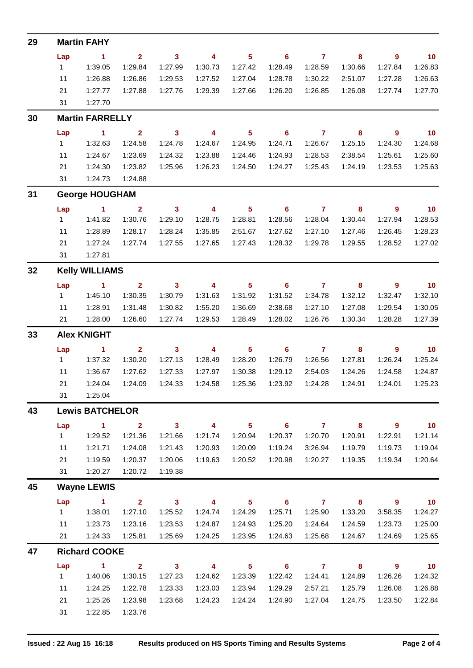| 29 | <b>Martin FAHY</b>     |                        |                         |                            |                         |                            |                            |                     |                            |                            |                 |  |
|----|------------------------|------------------------|-------------------------|----------------------------|-------------------------|----------------------------|----------------------------|---------------------|----------------------------|----------------------------|-----------------|--|
|    | Lap                    | $\sim$ 1               | 2 <sup>7</sup>          | $\overline{\mathbf{3}}$    | $\overline{4}$          | $\overline{\phantom{0}}$ 5 | $\overline{\phantom{a}}$ 6 | $\overline{7}$      | 8                          | - 9                        | $\overline{10}$ |  |
|    | 1                      | 1:39.05                | 1:29.84                 | 1:27.99                    | 1:30.73                 | 1:27.42                    | 1:28.49                    | 1:28.59             | 1:30.66                    | 1:27.84                    | 1:26.83         |  |
|    | 11                     | 1:26.88                | 1:26.86                 | 1:29.53                    | 1:27.52                 | 1:27.04                    | 1:28.78                    | 1:30.22             | 2:51.07                    | 1:27.28                    | 1:26.63         |  |
|    | 21                     | 1:27.77                | 1:27.88                 | 1:27.76                    | 1:29.39                 | 1:27.66                    | 1:26.20                    | 1:26.85             | 1:26.08                    | 1:27.74                    | 1:27.70         |  |
|    | 31                     | 1:27.70                |                         |                            |                         |                            |                            |                     |                            |                            |                 |  |
| 30 |                        | <b>Martin FARRELLY</b> |                         |                            |                         |                            |                            |                     |                            |                            |                 |  |
|    | Lap                    | $\sim$ 1               | $\mathbf{2}$            | $\overline{\phantom{a}}$ 3 | $\overline{\mathbf{4}}$ | $\overline{\phantom{1}}$ 5 | $\overline{\phantom{a}}$ 6 | $\overline{7}$      | $\overline{\mathbf{8}}$    | $\overline{\phantom{a}}$ 9 | $\overline{10}$ |  |
|    | $1 \quad$              | 1:32.63                | 1:24.58                 | 1:24.78                    | 1:24.67                 | 1:24.95                    | 1:24.71                    | 1:26.67             | 1:25.15                    | 1:24.30                    | 1:24.68         |  |
|    | 11                     | 1:24.67                | 1:23.69                 | 1:24.32                    | 1:23.88                 | 1:24.46                    | 1:24.93                    | 1:28.53             | 2:38.54                    | 1:25.61                    | 1:25.60         |  |
|    | 21                     | 1:24.30                | 1:23.82                 | 1:25.96                    | 1:26.23                 | 1:24.50                    | 1:24.27                    | 1:25.43             | 1:24.19                    | 1:23.53                    | 1:25.63         |  |
|    | 31                     | 1:24.73                | 1:24.88                 |                            |                         |                            |                            |                     |                            |                            |                 |  |
| 31 |                        | <b>George HOUGHAM</b>  |                         |                            |                         |                            |                            |                     |                            |                            |                 |  |
|    | Lap                    | $\sim$ 1               | $\overline{\mathbf{2}}$ | $\overline{\phantom{a}}$ 3 | $\overline{\mathbf{4}}$ | $\overline{\phantom{0}}$ 5 | $\overline{\phantom{0}}$ 6 | $\overline{7}$      | $\overline{\phantom{a}}$ 8 | $\overline{\phantom{a}}$ 9 | $\overline{10}$ |  |
|    | 1                      | 1:41.82                | 1:30.76                 | 1:29.10                    | 1:28.75                 | 1:28.81                    | 1:28.56                    | 1:28.04             | 1:30.44                    | 1:27.94                    | 1:28.53         |  |
|    | 11                     | 1:28.89                | 1:28.17                 | 1:28.24                    | 1:35.85                 | 2:51.67                    | 1:27.62                    | 1:27.10             | 1:27.46                    | 1:26.45                    | 1:28.23         |  |
|    | 21                     | 1:27.24                | 1:27.74                 | 1:27.55                    | 1:27.65                 | 1:27.43                    | 1:28.32                    | 1:29.78             | 1:29.55                    | 1:28.52                    | 1:27.02         |  |
|    | 31                     | 1:27.81                |                         |                            |                         |                            |                            |                     |                            |                            |                 |  |
| 32 | <b>Kelly WILLIAMS</b>  |                        |                         |                            |                         |                            |                            |                     |                            |                            |                 |  |
|    | Lap                    | $\sim$ 1               | $\mathbf{2}$            | $\overline{\mathbf{3}}$    | $\overline{4}$          | $\overline{\phantom{0}}$ 5 |                            | $6 \qquad \qquad 7$ | 8                          | - 9                        | $\overline{10}$ |  |
|    | 1                      | 1:45.10                | 1:30.35                 | 1:30.79                    | 1:31.63                 | 1:31.92                    | 1:31.52                    | 1:34.78             | 1:32.12                    | 1:32.47                    | 1:32.10         |  |
|    | 11                     | 1:28.91                | 1:31.48                 | 1:30.82                    | 1:55.20                 | 1:36.69                    | 2:38.68                    | 1:27.10             | 1:27.08                    | 1:29.54                    | 1:30.05         |  |
|    | 21                     | 1:28.00                | 1:26.60                 | 1:27.74                    | 1:29.53                 | 1:28.49                    | 1:28.02                    | 1:26.76             | 1:30.34                    | 1:28.28                    | 1:27.39         |  |
| 33 |                        | <b>Alex KNIGHT</b>     |                         |                            |                         |                            |                            |                     |                            |                            |                 |  |
|    | Lap                    | $\sim$ $\sim$ 1.       | $2^{\circ}$             | $\overline{\mathbf{3}}$    | $\overline{4}$          | $\overline{\phantom{0}}$ 5 | $\overline{\phantom{a}}$ 6 | $\overline{7}$      | $\overline{\mathbf{8}}$    | $\overline{\phantom{a}}$ 9 | $\overline{10}$ |  |
|    | $1 \quad$              | 1:37.32                | 1:30.20                 | 1:27.13                    | 1:28.49                 | 1:28.20                    | 1:26.79                    | 1:26.56             | 1:27.81                    | 1:26.24                    | 1:25.24         |  |
|    | 11                     | 1:36.67                | 1:27.62                 | 1:27.33                    | 1:27.97                 | 1:30.38                    | 1:29.12                    | 2:54.03             | 1:24.26                    | 1:24.58                    | 1:24.87         |  |
|    | 21                     | 1:24.04                | 1:24.09                 | 1:24.33                    | 1:24.58                 | 1:25.36                    | 1:23.92                    | 1:24.28             | 1:24.91                    | 1:24.01                    | 1:25.23         |  |
|    | 31                     | 1:25.04                |                         |                            |                         |                            |                            |                     |                            |                            |                 |  |
| 43 | <b>Lewis BATCHELOR</b> |                        |                         |                            |                         |                            |                            |                     |                            |                            |                 |  |
|    | Lap                    | $\mathbf{1}$           | $\overline{2}$          | $\mathbf{3}$               | $\overline{\mathbf{4}}$ | 5 <sup>5</sup>             | $6\phantom{1}$             | $\overline{7}$      | 8                          | 9                          | 10              |  |
|    | $\mathbf{1}$           | 1:29.52                | 1:21.36                 | 1:21.66                    | 1:21.74                 | 1:20.94                    | 1:20.37                    | 1:20.70             | 1:20.91                    | 1:22.91                    | 1:21.14         |  |
|    | 11                     | 1:21.71                | 1:24.08                 | 1:21.43                    | 1:20.93                 | 1:20.09                    | 1:19.24                    | 3:26.94             | 1:19.79                    | 1:19.73                    | 1:19.04         |  |
|    | 21                     | 1:19.59                | 1:20.37                 | 1:20.06                    | 1:19.63                 | 1:20.52                    | 1:20.98                    | 1:20.27             | 1:19.35                    | 1:19.34                    | 1:20.64         |  |
|    | 31                     | 1:20.27                | 1:20.72                 | 1:19.38                    |                         |                            |                            |                     |                            |                            |                 |  |
| 45 | <b>Wayne LEWIS</b>     |                        |                         |                            |                         |                            |                            |                     |                            |                            |                 |  |
|    | Lap                    | $\mathbf{1}$           | $\overline{2}$          | 3 <sup>7</sup>             | $\overline{\mathbf{4}}$ | 5 <sup>5</sup>             | $6\phantom{1}$             | $\overline{7}$      | 8                          | 9                          | 10 <sub>1</sub> |  |
|    | $\mathbf{1}$           | 1:38.01                | 1:27.10                 | 1:25.52                    | 1:24.74                 | 1:24.29                    | 1:25.71                    | 1:25.90             | 1:33.20                    | 3:58.35                    | 1:24.27         |  |
|    | 11                     | 1:23.73                | 1:23.16                 | 1:23.53                    | 1:24.87                 | 1:24.93                    | 1:25.20                    | 1:24.64             | 1:24.59                    | 1:23.73                    | 1:25.00         |  |
|    | 21                     | 1:24.33                | 1:25.81                 | 1:25.69                    | 1:24.25                 | 1:23.95                    | 1:24.63                    | 1:25.68             | 1:24.67                    | 1:24.69                    | 1:25.65         |  |
| 47 | <b>Richard COOKE</b>   |                        |                         |                            |                         |                            |                            |                     |                            |                            |                 |  |
|    | Lap                    | $\blacktriangleleft$   | $\overline{2}$          | $\mathbf{3}$               | 4                       | 5 <sup>5</sup>             | $6\phantom{1}6$            | $\overline{7}$      | 8                          | $\overline{9}$             | 10              |  |
|    | 1                      | 1:40.06                | 1:30.15                 | 1:27.23                    | 1:24.62                 | 1:23.39                    | 1:22.42                    | 1:24.41             | 1:24.89                    | 1:26.26                    | 1:24.32         |  |
|    | 11                     | 1:24.25                | 1:22.78                 | 1:23.33                    | 1:23.03                 | 1:23.94                    | 1:29.29                    | 2:57.21             | 1:25.79                    | 1:26.08                    | 1:26.88         |  |
|    |                        |                        |                         |                            |                         |                            |                            |                     |                            |                            |                 |  |
|    | 21                     | 1:25.26                | 1:23.98                 | 1:23.68                    | 1:24.23                 | 1:24.24                    | 1:24.90                    | 1:27.04             | 1:24.75                    | 1:23.50                    | 1:22.84         |  |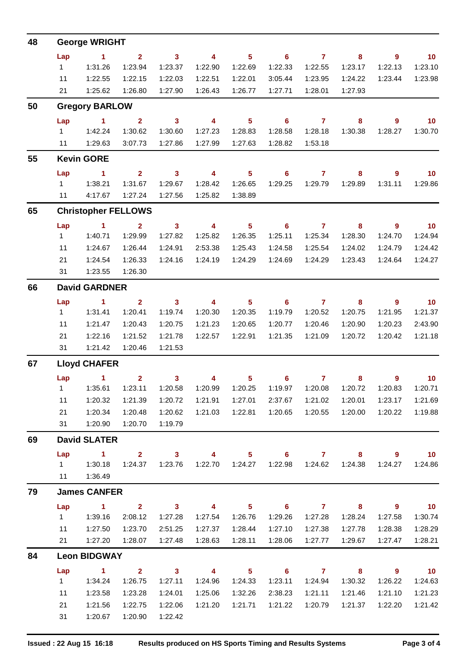| 48 | <b>George WRIGHT</b>   |                                          |                         |                            |                         |                            |                            |                        |                                             |                            |                      |  |
|----|------------------------|------------------------------------------|-------------------------|----------------------------|-------------------------|----------------------------|----------------------------|------------------------|---------------------------------------------|----------------------------|----------------------|--|
|    | Lap                    | $\sim$ 1                                 | $2^{\circ}$             | $\overline{\mathbf{3}}$    | $\overline{\mathbf{4}}$ | $5 -$                      | $\overline{\phantom{0}}$ 6 | $\overline{7}$         | 8                                           | $9^{\circ}$                | $\overline{10}$      |  |
|    | $1 \quad$              | 1:31.26                                  | 1:23.94                 | 1:23.37                    | 1:22.90                 | 1:22.69                    | 1:22.33                    | 1:22.55                | 1:23.17                                     | 1:22.13                    | 1:23.10              |  |
|    | 11                     | 1:22.55                                  | 1:22.15                 | 1:22.03                    | 1:22.51                 | 1:22.01                    | 3:05.44                    | 1:23.95                | 1:24.22                                     | 1:23.44                    | 1:23.98              |  |
|    |                        | 21   1:25.62                             | 1:26.80                 | 1:27.90                    | 1:26.43                 | 1:26.77                    | 1:27.71                    | 1:28.01                | 1:27.93                                     |                            |                      |  |
| 50 |                        | <b>Gregory BARLOW</b>                    |                         |                            |                         |                            |                            |                        |                                             |                            |                      |  |
|    |                        | Lap 1 2                                  |                         | $3 \t 4$                   |                         | $\overline{\phantom{0}}$ 5 |                            | 67                     | $\overline{\mathbf{8}}$                     | $9^{\circ}$                | $\overline{10}$      |  |
|    |                        | 1 1:42.24                                | 1:30.62                 | 1:30.60                    | 1:27.23                 | 1:28.83                    | 1:28.58                    | 1:28.18                | 1:30.38                                     | 1:28.27                    | 1:30.70              |  |
|    |                        | 11  1:29.63                              | 3:07.73                 | 1:27.86                    | 1:27.99                 | 1:27.63                    | 1:28.82                    | 1:53.18                |                                             |                            |                      |  |
| 55 | <b>Kevin GORE</b>      |                                          |                         |                            |                         |                            |                            |                        |                                             |                            |                      |  |
|    | Lap                    | $\sim$ $\sim$ 1                          | $\overline{\mathbf{2}}$ | $\overline{\mathbf{3}}$    | $\overline{\mathbf{4}}$ | 5 <sub>5</sub>             |                            | $6 \t 7$               | 8                                           | $9^{\circ}$                | $\overline{10}$      |  |
|    | $1 \quad$              | 1:38.21                                  | 1:31.67                 | 1:29.67                    | 1:28.42                 | 1:26.65                    | 1:29.25                    | 1:29.79                | 1:29.89                                     | 1:31.11                    | 1:29.86              |  |
|    |                        | 11  4:17.67  1:27.24                     |                         | 1:27.56                    | 1:25.82                 | 1:38.89                    |                            |                        |                                             |                            |                      |  |
| 65 |                        | <b>Christopher FELLOWS</b>               |                         |                            |                         |                            |                            |                        |                                             |                            |                      |  |
|    | Lap                    | $\sim$ 1 $\sim$ 2                        |                         |                            | $3 \t 4$                | $\sim$ 5                   |                            | $6 \qquad 7 \qquad 8$  |                                             | $\overline{\phantom{a}}$ 9 | $\overline{10}$      |  |
|    | $1 \quad \blacksquare$ | 1:40.71                                  | 1:29.99                 | 1:27.82                    | 1:25.82                 | 1:26.35                    | 1:25.11                    | 1:25.34                | 1:28.30                                     | 1:24.70                    | 1:24.94              |  |
|    | 11                     | 1:24.67                                  | 1:26.44                 | 1:24.91                    | 2:53.38                 | 1:25.43                    | 1:24.58                    | 1:25.54                | 1:24.02                                     | 1:24.79                    | 1:24.42              |  |
|    | 21                     | 1:24.54                                  | 1:26.33                 | 1:24.16                    | 1:24.19                 | 1:24.29                    | 1:24.69                    | 1:24.29                | 1:23.43                                     | 1:24.64                    | 1:24.27              |  |
|    |                        | 31  1:23.55                              | 1:26.30                 |                            |                         |                            |                            |                        |                                             |                            |                      |  |
| 66 |                        | <b>David GARDNER</b>                     |                         |                            |                         |                            |                            |                        |                                             |                            |                      |  |
|    | Lap<br>$1 \quad$       | $\overline{1}$ $\overline{2}$<br>1:31.41 | 1:20.41                 | 1:19.74                    | $3 \t 4 \t 5$           | 1:20.35                    |                            | $6$ $7$ $8$<br>1:20.52 |                                             | $\overline{\phantom{a}}$ 9 | $\sim$ 10<br>1:21.37 |  |
|    |                        |                                          |                         |                            | 1:20.30                 |                            | 1:19.79                    |                        | 1:20.75                                     | 1:21.95                    |                      |  |
|    | 11                     | 1:21.47                                  | 1:20.43                 | 1:20.75                    | 1:21.23                 | 1:20.65                    | 1:20.77                    | 1:20.46                | 1:20.90                                     | 1:20.23                    | 2:43.90              |  |
|    | 21                     | 1:22.16<br>31   1:21.42                  | 1:21.52<br>1:20.46      | 1:21.78<br>1:21.53         | 1:22.57                 | 1:22.91                    | 1:21.35                    | 1:21.09                | 1:20.72                                     | 1:20.42                    | 1:21.18              |  |
| 67 |                        | <b>Lloyd CHAFER</b>                      |                         |                            |                         |                            |                            |                        |                                             |                            |                      |  |
|    |                        | Lap 1 2 3 4 5 6 7 8 9 10                 |                         |                            |                         |                            |                            |                        |                                             |                            |                      |  |
|    |                        |                                          |                         |                            |                         |                            |                            |                        | 1:20.99  1:20.25  1:19.97  1:20.08  1:20.72 | 1:20.83                    | 1:20.71              |  |
|    | 11                     | 1:20.32                                  | 1:21.39                 | 1:20.72                    | 1:21.91                 | 1:27.01                    | 2:37.67                    | 1:21.02                | 1:20.01                                     | 1:23.17                    | 1:21.69              |  |
|    | 21                     | 1:20.34                                  | 1:20.48                 | 1:20.62                    | 1:21.03                 | 1:22.81                    | 1:20.65                    | 1:20.55                | 1:20.00                                     | 1:20.22                    | 1:19.88              |  |
|    | 31                     | 1:20.90                                  | 1:20.70                 | 1:19.79                    |                         |                            |                            |                        |                                             |                            |                      |  |
| 69 | <b>David SLATER</b>    |                                          |                         |                            |                         |                            |                            |                        |                                             |                            |                      |  |
|    | Lap                    | $\sim$ 1                                 | $\overline{2}$          | 3 <sup>1</sup>             | $\overline{\mathbf{4}}$ | 5 <sup>1</sup>             | 6 <sup>1</sup>             | $\overline{7}$         | 8                                           | $9^{\circ}$                | 10 <sub>1</sub>      |  |
|    | 1                      | 1:30.18                                  | 1:24.37                 | 1:23.76                    | 1:22.70                 | 1:24.27                    | 1:22.98                    | 1:24.62                | 1:24.38                                     | 1:24.27                    | 1:24.86              |  |
|    | 11                     | 1:36.49                                  |                         |                            |                         |                            |                            |                        |                                             |                            |                      |  |
| 79 | <b>James CANFER</b>    |                                          |                         |                            |                         |                            |                            |                        |                                             |                            |                      |  |
|    | Lap                    | $\sim$ 1                                 | 2 <sup>1</sup>          | $\overline{\mathbf{3}}$    | $\overline{4}$          | 5 <sup>1</sup>             | 6                          | $\mathbf{7}$           | 8                                           | 9                          | 10 <sub>1</sub>      |  |
|    | 1                      | 1:39.16                                  | 2:08.12                 | 1:27.28                    | 1:27.54                 | 1:26.76                    | 1:29.26                    | 1:27.28                | 1:28.24                                     | 1:27.58                    | 1:30.74              |  |
|    | 11                     | 1:27.50                                  | 1:23.70                 | 2:51.25                    | 1:27.37                 | 1:28.44                    | 1:27.10                    | 1:27.38                | 1:27.78                                     | 1:28.38                    | 1:28.29              |  |
|    | 21                     | 1:27.20                                  | 1:28.07                 | 1:27.48                    | 1:28.63                 | 1:28.11                    | 1:28.06                    | 1:27.77                | 1:29.67                                     | 1:27.47                    | 1:28.21              |  |
| 84 | <b>Leon BIDGWAY</b>    |                                          |                         |                            |                         |                            |                            |                        |                                             |                            |                      |  |
|    | Lap                    | $\sim$ 1                                 | $\mathbf{2}$            | $\overline{\phantom{a}}$ 3 | $\overline{\mathbf{4}}$ | 5 <sup>1</sup>             | $6^{\circ}$                | $\overline{7}$         | 8                                           | $\overline{9}$             | 10 <sub>1</sub>      |  |
|    | 1                      | 1:34.24                                  | 1:26.75                 | 1:27.11                    | 1:24.96                 | 1:24.33                    | 1:23.11                    | 1:24.94                | 1:30.32                                     | 1:26.22                    | 1:24.63              |  |
|    | 11                     | 1:23.58                                  | 1:23.28                 | 1:24.01                    | 1:25.06                 | 1:32.26                    | 2:38.23                    | 1:21.11                | 1:21.46                                     | 1:21.10                    | 1:21.23              |  |
|    | 21                     | 1:21.56                                  | 1:22.75                 | 1:22.06                    | 1:21.20                 | 1:21.71                    | 1:21.22                    | 1:20.79                | 1:21.37                                     | 1:22.20                    | 1:21.42              |  |
|    | 31                     | 1:20.67                                  | 1:20.90                 | 1:22.42                    |                         |                            |                            |                        |                                             |                            |                      |  |